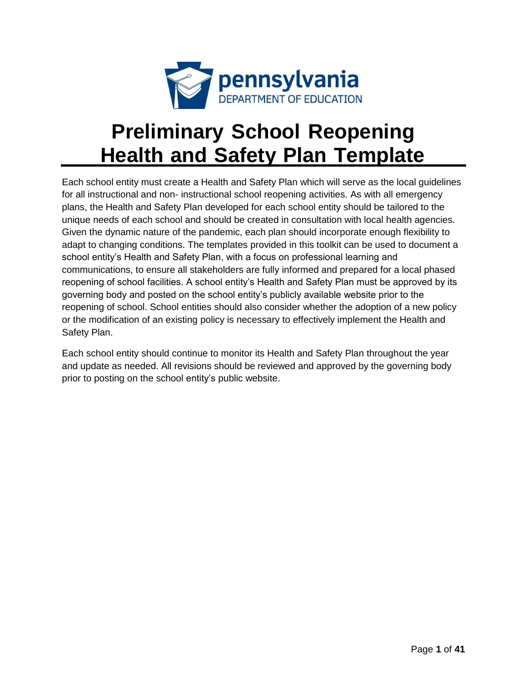

# **Preliminary School Reopening Health and Safety Plan Template**

Each school entity must create a Health and Safety Plan which will serve as the local guidelines for all instructional and non- instructional school reopening activities. As with all emergency plans, the Health and Safety Plan developed for each school entity should be tailored to the unique needs of each school and should be created in consultation with local health agencies. Given the dynamic nature of the pandemic, each plan should incorporate enough flexibility to adapt to changing conditions. The templates provided in this toolkit can be used to document a school entity's Health and Safety Plan, with a focus on professional learning and communications, to ensure all stakeholders are fully informed and prepared for a local phased reopening of school facilities. A school entity's Health and Safety Plan must be approved by its governing body and posted on the school entity's publicly available website prior to the reopening of school. School entities should also consider whether the adoption of a new policy or the modification of an existing policy is necessary to effectively implement the Health and Safety Plan.

Each school entity should continue to monitor its Health and Safety Plan throughout the year and update as needed. All revisions should be reviewed and approved by the governing body prior to posting on the school entity's public website.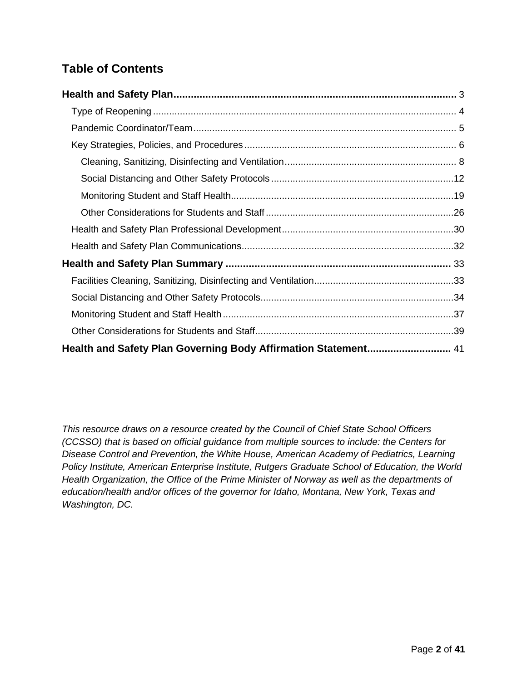## **Table of Contents**

| Health and Safety Plan Governing Body Affirmation Statement 41 |  |
|----------------------------------------------------------------|--|

*This resource draws on a resource created by the Council of Chief State School Officers (CCSSO) that is based on official guidance from multiple sources to include: the Centers for Disease Control and Prevention, the White House, American Academy of Pediatrics, Learning Policy Institute, American Enterprise Institute, Rutgers Graduate School of Education, the World Health Organization, the Office of the Prime Minister of Norway as well as the departments of education/health and/or offices of the governor for Idaho, Montana, New York, Texas and Washington, DC.*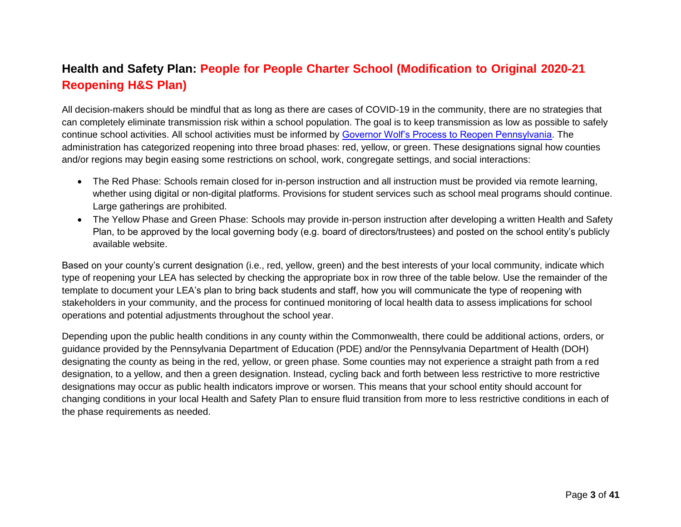## **Health and Safety Plan: People for People Charter School (Modification to Original 2020-21 Reopening H&S Plan)**

All decision-makers should be mindful that as long as there are cases of COVID-19 in the community, there are no strategies that can completely eliminate transmission risk within a school population. The goal is to keep transmission as low as possible to safely continue school activities. All school activities must be informed by [Governor Wolf's Process to Reopen Pennsylvania. T](https://www.governor.pa.gov/process-to-reopen-pennsylvania/)he administration has categorized reopening into three broad phases: red, yellow, or green. These designations signal how counties and/or regions may begin easing some restrictions on school, work, congregate settings, and social interactions:

- The Red Phase: Schools remain closed for in-person instruction and all instruction must be provided via remote learning, whether using digital or non-digital platforms. Provisions for student services such as school meal programs should continue. Large gatherings are prohibited.
- <span id="page-2-0"></span> The Yellow Phase and Green Phase: Schools may provide in-person instruction after developing a written Health and Safety Plan, to be approved by the local governing body (e.g. board of directors/trustees) and posted on the school entity's publicly available website.

Based on your county's current designation (i.e., red, yellow, green) and the best interests of your local community, indicate which type of reopening your LEA has selected by checking the appropriate box in row three of the table below. Use the remainder of the template to document your LEA's plan to bring back students and staff, how you will communicate the type of reopening with stakeholders in your community, and the process for continued monitoring of local health data to assess implications for school operations and potential adjustments throughout the school year.

Depending upon the public health conditions in any county within the Commonwealth, there could be additional actions, orders, or guidance provided by the Pennsylvania Department of Education (PDE) and/or the Pennsylvania Department of Health (DOH) designating the county as being in the red, yellow, or green phase. Some counties may not experience a straight path from a red designation, to a yellow, and then a green designation. Instead, cycling back and forth between less restrictive to more restrictive designations may occur as public health indicators improve or worsen. This means that your school entity should account for changing conditions in your local Health and Safety Plan to ensure fluid transition from more to less restrictive conditions in each of the phase requirements as needed.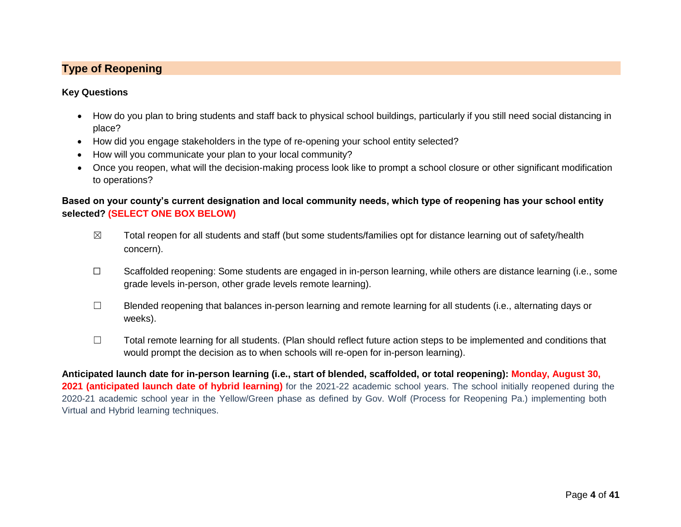### **Type of Reopening**

#### **Key Questions**

- How do you plan to bring students and staff back to physical school buildings, particularly if you still need social distancing in place?
- How did you engage stakeholders in the type of re-opening your school entity selected?
- How will you communicate your plan to your local community?
- Once you reopen, what will the decision-making process look like to prompt a school closure or other significant modification to operations?

#### <span id="page-3-0"></span>**Based on your county's current designation and local community needs, which type of reopening has your school entity selected? (SELECT ONE BOX BELOW)**

- $\boxtimes$  Total reopen for all students and staff (but some students/families opt for distance learning out of safety/health concern).
- ☐ Scaffolded reopening: Some students are engaged in in-person learning, while others are distance learning (i.e., some grade levels in-person, other grade levels remote learning).
- ☐ Blended reopening that balances in-person learning and remote learning for all students (i.e., alternating days or weeks).
- ☐ Total remote learning for all students. (Plan should reflect future action steps to be implemented and conditions that would prompt the decision as to when schools will re-open for in-person learning).

**Anticipated launch date for in-person learning (i.e., start of blended, scaffolded, or total reopening): Monday, August 30, 2021 (anticipated launch date of hybrid learning)** for the 2021-22 academic school years. The school initially reopened during the 2020-21 academic school year in the Yellow/Green phase as defined by Gov. Wolf (Process for Reopening Pa.) implementing both Virtual and Hybrid learning techniques.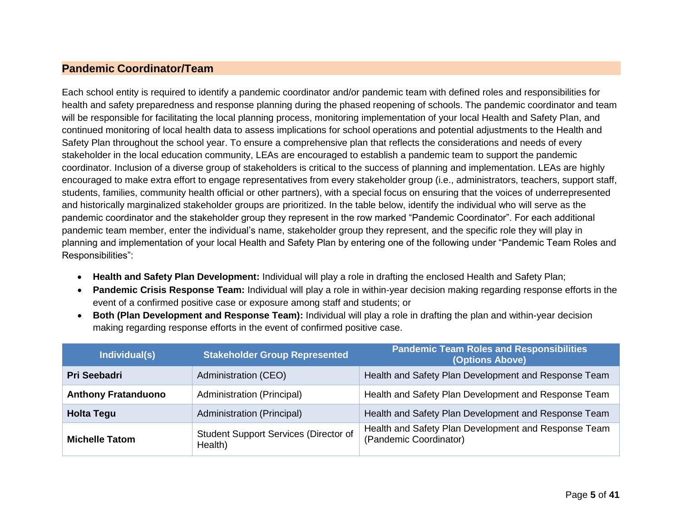#### **Pandemic Coordinator/Team**

Each school entity is required to identify a pandemic coordinator and/or pandemic team with defined roles and responsibilities for health and safety preparedness and response planning during the phased reopening of schools. The pandemic coordinator and team will be responsible for facilitating the local planning process, monitoring implementation of your local Health and Safety Plan, and continued monitoring of local health data to assess implications for school operations and potential adjustments to the Health and Safety Plan throughout the school year. To ensure a comprehensive plan that reflects the considerations and needs of every stakeholder in the local education community, LEAs are encouraged to establish a pandemic team to support the pandemic coordinator. Inclusion of a diverse group of stakeholders is critical to the success of planning and implementation. LEAs are highly encouraged to make extra effort to engage representatives from every stakeholder group (i.e., administrators, teachers, support staff, students, families, community health official or other partners), with a special focus on ensuring that the voices of underrepresented and historically marginalized stakeholder groups are prioritized. In the table below, identify the individual who will serve as the pandemic coordinator and the stakeholder group they represent in the row marked "Pandemic Coordinator". For each additional pandemic team member, enter the individual's name, stakeholder group they represent, and the specific role they will play in planning and implementation of your local Health and Safety Plan by entering one of the following under "Pandemic Team Roles and Responsibilities":

- <span id="page-4-0"></span>**Health and Safety Plan Development:** Individual will play a role in drafting the enclosed Health and Safety Plan;
- **Pandemic Crisis Response Team:** Individual will play a role in within-year decision making regarding response efforts in the event of a confirmed positive case or exposure among staff and students; or
- **Both (Plan Development and Response Team):** Individual will play a role in drafting the plan and within-year decision making regarding response efforts in the event of confirmed positive case.

| Individual(s)              | <b>Stakeholder Group Represented</b>                    | <b>Pandemic Team Roles and Responsibilities</b><br>(Options Above)             |
|----------------------------|---------------------------------------------------------|--------------------------------------------------------------------------------|
| <b>Pri Seebadri</b>        | Administration (CEO)                                    | Health and Safety Plan Development and Response Team                           |
| <b>Anthony Fratanduono</b> | Administration (Principal)                              | Health and Safety Plan Development and Response Team                           |
| <b>Holta Tegu</b>          | Administration (Principal)                              | Health and Safety Plan Development and Response Team                           |
| <b>Michelle Tatom</b>      | <b>Student Support Services (Director of</b><br>Health) | Health and Safety Plan Development and Response Team<br>(Pandemic Coordinator) |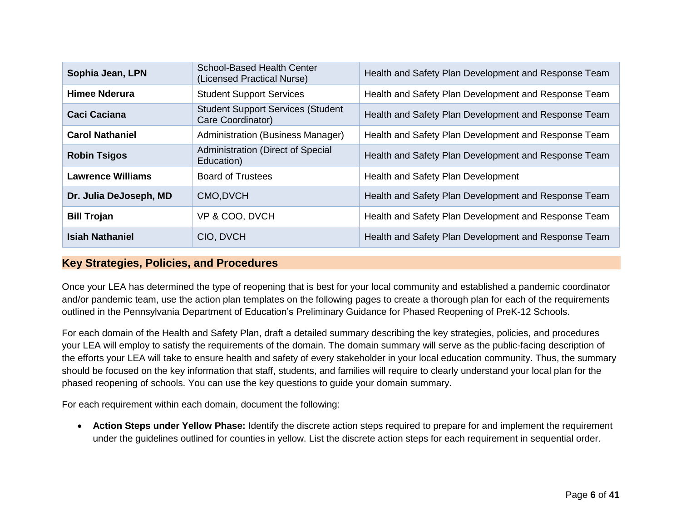| Sophia Jean, LPN         | <b>School-Based Health Center</b><br>(Licensed Practical Nurse) | Health and Safety Plan Development and Response Team |
|--------------------------|-----------------------------------------------------------------|------------------------------------------------------|
| Himee Nderura            | <b>Student Support Services</b>                                 | Health and Safety Plan Development and Response Team |
| <b>Caci Caciana</b>      | <b>Student Support Services (Student</b><br>Care Coordinator)   | Health and Safety Plan Development and Response Team |
| <b>Carol Nathaniel</b>   | Administration (Business Manager)                               | Health and Safety Plan Development and Response Team |
| <b>Robin Tsigos</b>      | Administration (Direct of Special<br>Education)                 | Health and Safety Plan Development and Response Team |
| <b>Lawrence Williams</b> | <b>Board of Trustees</b>                                        | Health and Safety Plan Development                   |
| Dr. Julia DeJoseph, MD   | CMO, DVCH                                                       | Health and Safety Plan Development and Response Team |
| <b>Bill Trojan</b>       | VP & COO, DVCH                                                  | Health and Safety Plan Development and Response Team |
| <b>Isiah Nathaniel</b>   | CIO, DVCH                                                       | Health and Safety Plan Development and Response Team |

#### **Key Strategies, Policies, and Procedures**

Once your LEA has determined the type of reopening that is best for your local community and established a pandemic coordinator and/or pandemic team, use the action plan templates on the following pages to create a thorough plan for each of the requirements outlined in the Pennsylvania Department of Education's Preliminary Guidance for Phased Reopening of PreK-12 Schools.

For each domain of the Health and Safety Plan, draft a detailed summary describing the key strategies, policies, and procedures your LEA will employ to satisfy the requirements of the domain. The domain summary will serve as the public-facing description of the efforts your LEA will take to ensure health and safety of every stakeholder in your local education community. Thus, the summary should be focused on the key information that staff, students, and families will require to clearly understand your local plan for the phased reopening of schools. You can use the key questions to guide your domain summary.

<span id="page-5-0"></span>For each requirement within each domain, document the following:

 **Action Steps under Yellow Phase:** Identify the discrete action steps required to prepare for and implement the requirement under the guidelines outlined for counties in yellow. List the discrete action steps for each requirement in sequential order.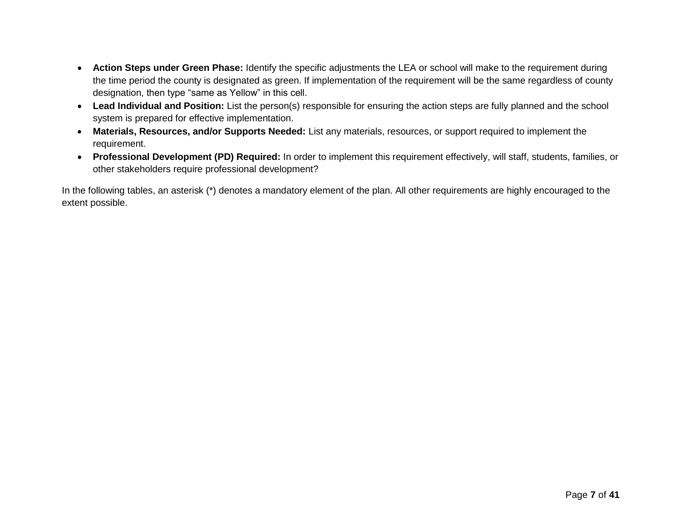- **Action Steps under Green Phase:** Identify the specific adjustments the LEA or school will make to the requirement during the time period the county is designated as green. If implementation of the requirement will be the same regardless of county designation, then type "same as Yellow" in this cell.
- **Lead Individual and Position:** List the person(s) responsible for ensuring the action steps are fully planned and the school system is prepared for effective implementation.
- **Materials, Resources, and/or Supports Needed:** List any materials, resources, or support required to implement the requirement.
- **Professional Development (PD) Required:** In order to implement this requirement effectively, will staff, students, families, or other stakeholders require professional development?

In the following tables, an asterisk (\*) denotes a mandatory element of the plan. All other requirements are highly encouraged to the extent possible.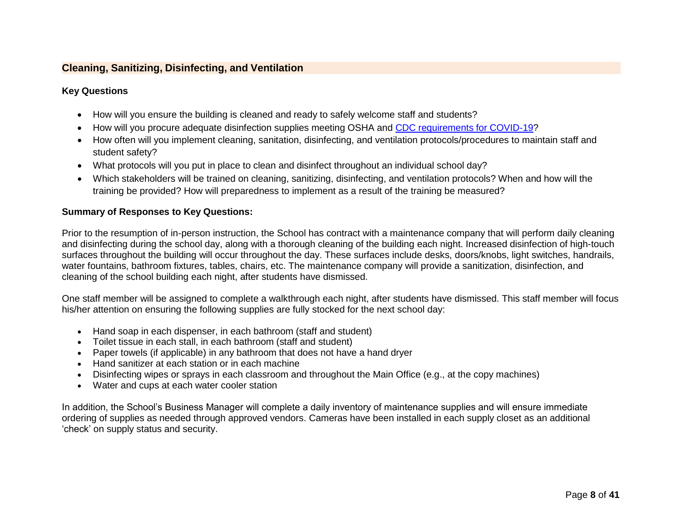#### **Cleaning, Sanitizing, Disinfecting, and Ventilation**

#### **Key Questions**

- How will you ensure the building is cleaned and ready to safely welcome staff and students?
- How will you procure adequate disinfection supplies meeting OSHA and CDC [requirements](https://www.cdc.gov/coronavirus/2019-ncov/community/disinfecting-building-facility.html) for COVID-19?
- How often will you implement cleaning, sanitation, disinfecting, and ventilation protocols/procedures to maintain staff and student safety?
- What protocols will you put in place to clean and disinfect throughout an individual school day?
- Which stakeholders will be trained on cleaning, sanitizing, disinfecting, and ventilation protocols? When and how will the training be provided? How will preparedness to implement as a result of the training be measured?

#### <span id="page-7-0"></span>**Summary of Responses to Key Questions:**

Prior to the resumption of in-person instruction, the School has contract with a maintenance company that will perform daily cleaning and disinfecting during the school day, along with a thorough cleaning of the building each night. Increased disinfection of high-touch surfaces throughout the building will occur throughout the day. These surfaces include desks, doors/knobs, light switches, handrails, water fountains, bathroom fixtures, tables, chairs, etc. The maintenance company will provide a sanitization, disinfection, and cleaning of the school building each night, after students have dismissed.

One staff member will be assigned to complete a walkthrough each night, after students have dismissed. This staff member will focus his/her attention on ensuring the following supplies are fully stocked for the next school day:

- Hand soap in each dispenser, in each bathroom (staff and student)
- Toilet tissue in each stall, in each bathroom (staff and student)
- Paper towels (if applicable) in any bathroom that does not have a hand dryer
- Hand sanitizer at each station or in each machine
- Disinfecting wipes or sprays in each classroom and throughout the Main Office (e.g., at the copy machines)
- Water and cups at each water cooler station

In addition, the School's Business Manager will complete a daily inventory of maintenance supplies and will ensure immediate ordering of supplies as needed through approved vendors. Cameras have been installed in each supply closet as an additional 'check' on supply status and security.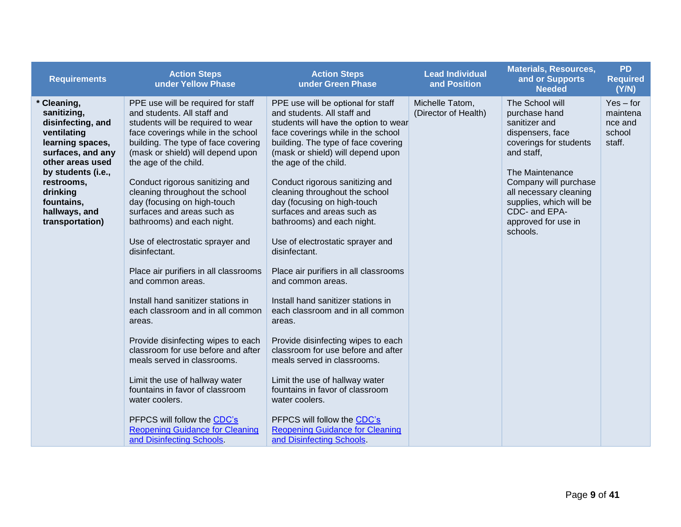| <b>Requirements</b>                                                                                                                                                                                                           | <b>Action Steps</b><br>under Yellow Phase                                                                                                                                                                                                                                                                                                                                                                                                                                                                                                                                                                                                                                                                                                                                                                                                                                                                                        | <b>Action Steps</b><br>under Green Phase                                                                                                                                                                                                                                                                                                                                                                                                                                                                                                                                                                                                                                                                                                                                                                                                                                                                                             | <b>Lead Individual</b><br>and Position  | <b>Materials, Resources,</b><br>and or Supports<br><b>Needed</b>                                                                                                                                                                                                   | <b>PD</b><br><b>Required</b><br>(Y/N)                  |
|-------------------------------------------------------------------------------------------------------------------------------------------------------------------------------------------------------------------------------|----------------------------------------------------------------------------------------------------------------------------------------------------------------------------------------------------------------------------------------------------------------------------------------------------------------------------------------------------------------------------------------------------------------------------------------------------------------------------------------------------------------------------------------------------------------------------------------------------------------------------------------------------------------------------------------------------------------------------------------------------------------------------------------------------------------------------------------------------------------------------------------------------------------------------------|--------------------------------------------------------------------------------------------------------------------------------------------------------------------------------------------------------------------------------------------------------------------------------------------------------------------------------------------------------------------------------------------------------------------------------------------------------------------------------------------------------------------------------------------------------------------------------------------------------------------------------------------------------------------------------------------------------------------------------------------------------------------------------------------------------------------------------------------------------------------------------------------------------------------------------------|-----------------------------------------|--------------------------------------------------------------------------------------------------------------------------------------------------------------------------------------------------------------------------------------------------------------------|--------------------------------------------------------|
| * Cleaning,<br>sanitizing,<br>disinfecting, and<br>ventilating<br>learning spaces,<br>surfaces, and any<br>other areas used<br>by students (i.e.,<br>restrooms,<br>drinking<br>fountains,<br>hallways, and<br>transportation) | PPE use will be required for staff<br>and students. All staff and<br>students will be required to wear<br>face coverings while in the school<br>building. The type of face covering<br>(mask or shield) will depend upon<br>the age of the child.<br>Conduct rigorous sanitizing and<br>cleaning throughout the school<br>day (focusing on high-touch<br>surfaces and areas such as<br>bathrooms) and each night.<br>Use of electrostatic sprayer and<br>disinfectant.<br>Place air purifiers in all classrooms<br>and common areas.<br>Install hand sanitizer stations in<br>each classroom and in all common<br>areas.<br>Provide disinfecting wipes to each<br>classroom for use before and after<br>meals served in classrooms.<br>Limit the use of hallway water<br>fountains in favor of classroom<br>water coolers.<br>PFPCS will follow the CDC's<br><b>Reopening Guidance for Cleaning</b><br>and Disinfecting Schools. | PPE use will be optional for staff<br>and students. All staff and<br>students will have the option to wear<br>face coverings while in the school<br>building. The type of face covering<br>(mask or shield) will depend upon<br>the age of the child.<br>Conduct rigorous sanitizing and<br>cleaning throughout the school<br>day (focusing on high-touch<br>surfaces and areas such as<br>bathrooms) and each night.<br>Use of electrostatic sprayer and<br>disinfectant.<br>Place air purifiers in all classrooms<br>and common areas.<br>Install hand sanitizer stations in<br>each classroom and in all common<br>areas.<br>Provide disinfecting wipes to each<br>classroom for use before and after<br>meals served in classrooms.<br>Limit the use of hallway water<br>fountains in favor of classroom<br>water coolers.<br>PFPCS will follow the CDC's<br><b>Reopening Guidance for Cleaning</b><br>and Disinfecting Schools. | Michelle Tatom,<br>(Director of Health) | The School will<br>purchase hand<br>sanitizer and<br>dispensers, face<br>coverings for students<br>and staff,<br>The Maintenance<br>Company will purchase<br>all necessary cleaning<br>supplies, which will be<br>CDC- and EPA-<br>approved for use in<br>schools. | $Yes - for$<br>maintena<br>nce and<br>school<br>staff. |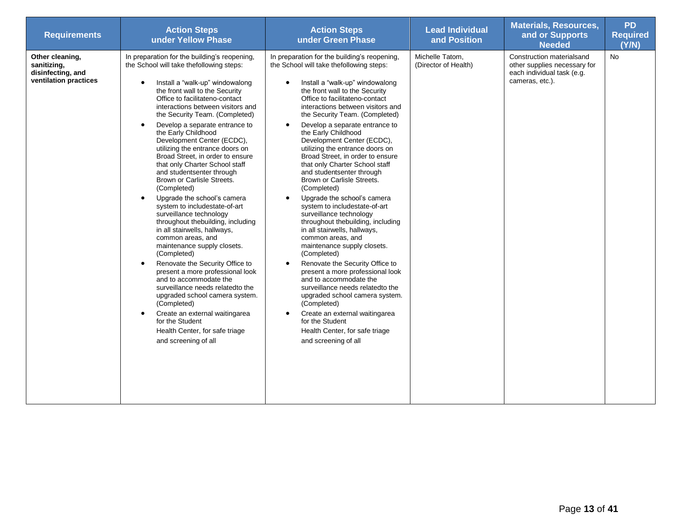<span id="page-9-0"></span>

| <b>Requirements</b>                                                          | <b>Action Steps</b><br>under Yellow Phase                                                                                                                                                                                                                                                                                                                                                                                                                                                                                                                                                                                                                                                                                                                                                                                                                                                                                                                                                                                                                                                                                                                  | <b>Action Steps</b><br>under Green Phase                                                                                                                                                                                                                                                                                                                                                                                                                                                                                                                                                                                                                                                                                                                                                                                                                                                                                                                                                                                                                                                                           | <b>Lead Individual</b><br>and Position  | <b>Materials, Resources,</b><br>and or Supports<br><b>Needed</b>                                           | <b>PD</b><br><b>Required</b><br>(Y/N) |
|------------------------------------------------------------------------------|------------------------------------------------------------------------------------------------------------------------------------------------------------------------------------------------------------------------------------------------------------------------------------------------------------------------------------------------------------------------------------------------------------------------------------------------------------------------------------------------------------------------------------------------------------------------------------------------------------------------------------------------------------------------------------------------------------------------------------------------------------------------------------------------------------------------------------------------------------------------------------------------------------------------------------------------------------------------------------------------------------------------------------------------------------------------------------------------------------------------------------------------------------|--------------------------------------------------------------------------------------------------------------------------------------------------------------------------------------------------------------------------------------------------------------------------------------------------------------------------------------------------------------------------------------------------------------------------------------------------------------------------------------------------------------------------------------------------------------------------------------------------------------------------------------------------------------------------------------------------------------------------------------------------------------------------------------------------------------------------------------------------------------------------------------------------------------------------------------------------------------------------------------------------------------------------------------------------------------------------------------------------------------------|-----------------------------------------|------------------------------------------------------------------------------------------------------------|---------------------------------------|
| Other cleaning,<br>sanitizing,<br>disinfecting, and<br>ventilation practices | In preparation for the building's reopening,<br>the School will take thefollowing steps:<br>Install a "walk-up" windowalong<br>$\bullet$<br>the front wall to the Security<br>Office to facilitateno-contact<br>interactions between visitors and<br>the Security Team. (Completed)<br>Develop a separate entrance to<br>$\bullet$<br>the Early Childhood<br>Development Center (ECDC),<br>utilizing the entrance doors on<br>Broad Street, in order to ensure<br>that only Charter School staff<br>and studentsenter through<br>Brown or Carlisle Streets.<br>(Completed)<br>Upgrade the school's camera<br>$\bullet$<br>system to includestate-of-art<br>surveillance technology<br>throughout thebuilding, including<br>in all stairwells, hallways,<br>common areas, and<br>maintenance supply closets.<br>(Completed)<br>Renovate the Security Office to<br>$\bullet$<br>present a more professional look<br>and to accommodate the<br>surveillance needs related to the<br>upgraded school camera system.<br>(Completed)<br>Create an external waitingarea<br>$\bullet$<br>for the Student<br>Health Center, for safe triage<br>and screening of all | In preparation for the building's reopening,<br>the School will take thefollowing steps:<br>Install a "walk-up" windowalong<br>the front wall to the Security<br>Office to facilitateno-contact<br>interactions between visitors and<br>the Security Team. (Completed)<br>Develop a separate entrance to<br>$\bullet$<br>the Early Childhood<br>Development Center (ECDC),<br>utilizing the entrance doors on<br>Broad Street, in order to ensure<br>that only Charter School staff<br>and studentsenter through<br>Brown or Carlisle Streets.<br>(Completed)<br>Upgrade the school's camera<br>system to includestate-of-art<br>surveillance technology<br>throughout thebuilding, including<br>in all stairwells, hallways,<br>common areas, and<br>maintenance supply closets.<br>(Completed)<br>Renovate the Security Office to<br>$\bullet$<br>present a more professional look<br>and to accommodate the<br>surveillance needs relatedto the<br>upgraded school camera system.<br>(Completed)<br>Create an external waitingarea<br>for the Student<br>Health Center, for safe triage<br>and screening of all | Michelle Tatom,<br>(Director of Health) | Construction materialsand<br>other supplies necessary for<br>each individual task (e.g.<br>cameras, etc.). | No                                    |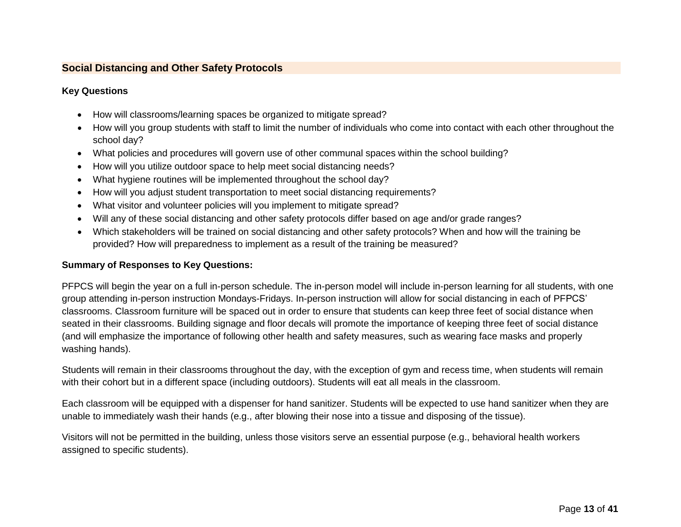#### **Social Distancing and Other Safety Protocols**

#### **Key Questions**

- How will classrooms/learning spaces be organized to mitigate spread?
- How will you group students with staff to limit the number of individuals who come into contact with each other throughout the school day?
- What policies and procedures will govern use of other communal spaces within the school building?
- How will you utilize outdoor space to help meet social distancing needs?
- What hygiene routines will be implemented throughout the school day?
- How will you adjust student transportation to meet social distancing requirements?
- What visitor and volunteer policies will you implement to mitigate spread?
- Will any of these social distancing and other safety protocols differ based on age and/or grade ranges?
- Which stakeholders will be trained on social distancing and other safety protocols? When and how will the training be provided? How will preparedness to implement as a result of the training be measured?

#### **Summary of Responses to Key Questions:**

PFPCS will begin the year on a full in-person schedule. The in-person model will include in-person learning for all students, with one group attending in-person instruction Mondays-Fridays. In-person instruction will allow for social distancing in each of PFPCS' classrooms. Classroom furniture will be spaced out in order to ensure that students can keep three feet of social distance when seated in their classrooms. Building signage and floor decals will promote the importance of keeping three feet of social distance (and will emphasize the importance of following other health and safety measures, such as wearing face masks and properly washing hands).

Students will remain in their classrooms throughout the day, with the exception of gym and recess time, when students will remain with their cohort but in a different space (including outdoors). Students will eat all meals in the classroom.

Each classroom will be equipped with a dispenser for hand sanitizer. Students will be expected to use hand sanitizer when they are unable to immediately wash their hands (e.g., after blowing their nose into a tissue and disposing of the tissue).

Visitors will not be permitted in the building, unless those visitors serve an essential purpose (e.g., behavioral health workers assigned to specific students).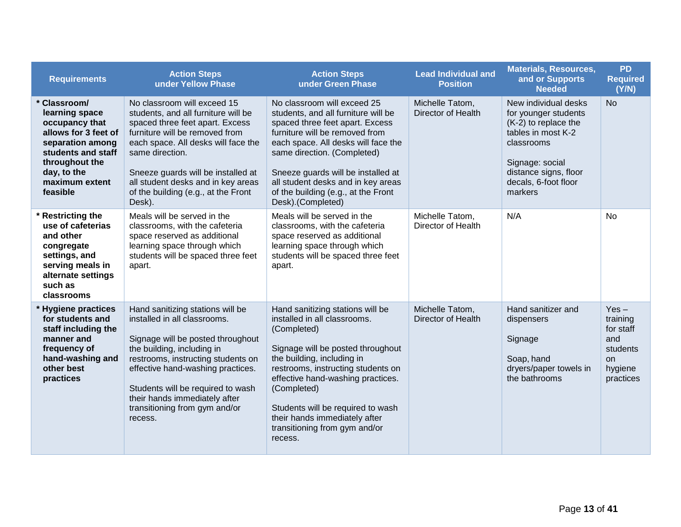| <b>Requirements</b>                                                                                                                                                                    | <b>Action Steps</b><br>under Yellow Phase                                                                                                                                                                                                                                                                                        | <b>Action Steps</b><br>under Green Phase                                                                                                                                                                                                                                                                                                                       | <b>Lead Individual and</b><br><b>Position</b> | <b>Materials, Resources,</b><br>and or Supports<br><b>Needed</b>                                                                                                                        | <b>PD</b><br><b>Required</b><br>(Y/N)                                                    |
|----------------------------------------------------------------------------------------------------------------------------------------------------------------------------------------|----------------------------------------------------------------------------------------------------------------------------------------------------------------------------------------------------------------------------------------------------------------------------------------------------------------------------------|----------------------------------------------------------------------------------------------------------------------------------------------------------------------------------------------------------------------------------------------------------------------------------------------------------------------------------------------------------------|-----------------------------------------------|-----------------------------------------------------------------------------------------------------------------------------------------------------------------------------------------|------------------------------------------------------------------------------------------|
| <b>Classroom/</b><br>learning space<br>occupancy that<br>allows for 3 feet of<br>separation among<br>students and staff<br>throughout the<br>day, to the<br>maximum extent<br>feasible | No classroom will exceed 15<br>students, and all furniture will be<br>spaced three feet apart. Excess<br>furniture will be removed from<br>each space. All desks will face the<br>same direction.<br>Sneeze guards will be installed at<br>all student desks and in key areas<br>of the building (e.g., at the Front<br>Desk).   | No classroom will exceed 25<br>students, and all furniture will be<br>spaced three feet apart. Excess<br>furniture will be removed from<br>each space. All desks will face the<br>same direction. (Completed)<br>Sneeze guards will be installed at<br>all student desks and in key areas<br>of the building (e.g., at the Front<br>Desk).(Completed)          | Michelle Tatom,<br>Director of Health         | New individual desks<br>for younger students<br>(K-2) to replace the<br>tables in most K-2<br>classrooms<br>Signage: social<br>distance signs, floor<br>decals, 6-foot floor<br>markers | <b>No</b>                                                                                |
| <b>Restricting the</b><br>use of cafeterias<br>and other<br>congregate<br>settings, and<br>serving meals in<br>alternate settings<br>such as<br>classrooms                             | Meals will be served in the<br>classrooms, with the cafeteria<br>space reserved as additional<br>learning space through which<br>students will be spaced three feet<br>apart.                                                                                                                                                    | Meals will be served in the<br>classrooms, with the cafeteria<br>space reserved as additional<br>learning space through which<br>students will be spaced three feet<br>apart.                                                                                                                                                                                  | Michelle Tatom,<br>Director of Health         | N/A                                                                                                                                                                                     | No                                                                                       |
| * Hygiene practices<br>for students and<br>staff including the<br>manner and<br>frequency of<br>hand-washing and<br>other best<br>practices                                            | Hand sanitizing stations will be<br>installed in all classrooms.<br>Signage will be posted throughout<br>the building, including in<br>restrooms, instructing students on<br>effective hand-washing practices.<br>Students will be required to wash<br>their hands immediately after<br>transitioning from gym and/or<br>recess. | Hand sanitizing stations will be<br>installed in all classrooms.<br>(Completed)<br>Signage will be posted throughout<br>the building, including in<br>restrooms, instructing students on<br>effective hand-washing practices.<br>(Completed)<br>Students will be required to wash<br>their hands immediately after<br>transitioning from gym and/or<br>recess. | Michelle Tatom,<br>Director of Health         | Hand sanitizer and<br>dispensers<br>Signage<br>Soap, hand<br>dryers/paper towels in<br>the bathrooms                                                                                    | $Yes -$<br>training<br>for staff<br>and<br>students<br><b>on</b><br>hygiene<br>practices |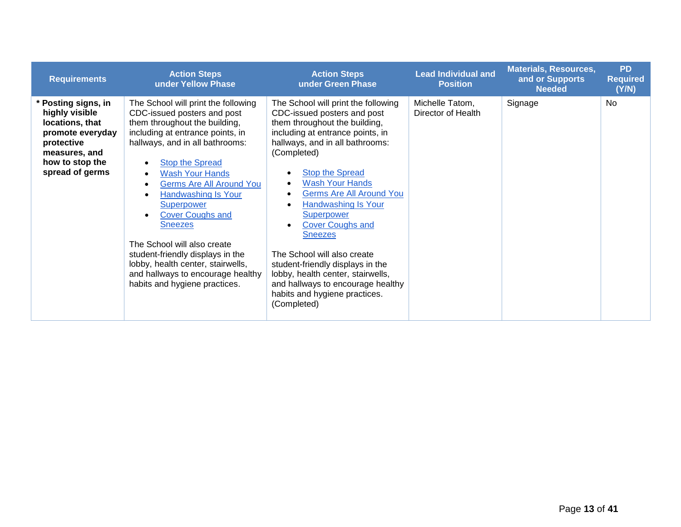| <b>Requirements</b>                                                                                                                               | <b>Action Steps</b><br>under Yellow Phase                                                                                                                                                                                                                                                                                                                                                                                                                                                                                                | <b>Action Steps</b><br>under Green Phase                                                                                                                                                                                                                                                                                                                                                                                                                                                                                                                        | <b>Lead Individual and</b><br><b>Position</b> | <b>Materials, Resources,</b><br>and or Supports<br><b>Needed</b> | <b>PD</b><br><b>Required</b><br>(Y/N) |
|---------------------------------------------------------------------------------------------------------------------------------------------------|------------------------------------------------------------------------------------------------------------------------------------------------------------------------------------------------------------------------------------------------------------------------------------------------------------------------------------------------------------------------------------------------------------------------------------------------------------------------------------------------------------------------------------------|-----------------------------------------------------------------------------------------------------------------------------------------------------------------------------------------------------------------------------------------------------------------------------------------------------------------------------------------------------------------------------------------------------------------------------------------------------------------------------------------------------------------------------------------------------------------|-----------------------------------------------|------------------------------------------------------------------|---------------------------------------|
| * Posting signs, in<br>highly visible<br>locations, that<br>promote everyday<br>protective<br>measures, and<br>how to stop the<br>spread of germs | The School will print the following<br>CDC-issued posters and post<br>them throughout the building,<br>including at entrance points, in<br>hallways, and in all bathrooms:<br><b>Stop the Spread</b><br><b>Wash Your Hands</b><br><b>Germs Are All Around You</b><br><b>Handwashing Is Your</b><br>Superpower<br><b>Cover Coughs and</b><br><b>Sneezes</b><br>The School will also create<br>student-friendly displays in the<br>lobby, health center, stairwells,<br>and hallways to encourage healthy<br>habits and hygiene practices. | The School will print the following<br>CDC-issued posters and post<br>them throughout the building,<br>including at entrance points, in<br>hallways, and in all bathrooms:<br>(Completed)<br><b>Stop the Spread</b><br><b>Wash Your Hands</b><br><b>Germs Are All Around You</b><br>Handwashing Is Your<br>Superpower<br><b>Cover Coughs and</b><br><b>Sneezes</b><br>The School will also create<br>student-friendly displays in the<br>lobby, health center, stairwells,<br>and hallways to encourage healthy<br>habits and hygiene practices.<br>(Completed) | Michelle Tatom,<br>Director of Health         | Signage                                                          | <b>No</b>                             |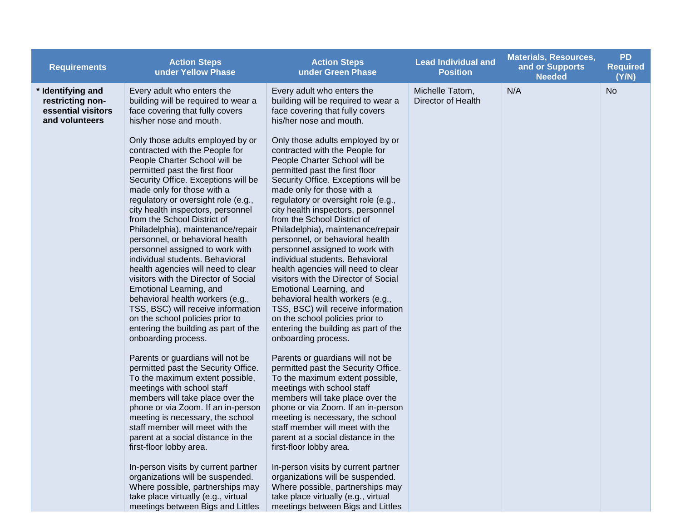| <b>Requirements</b>                                                           | <b>Action Steps</b><br>under Yellow Phase                                                                                                                                                                                                                                                                                                                                                                                                                                                                                                                                                                                                                                                                                                                | <b>Action Steps</b><br>under Green Phase                                                                                                                                                                                                                                                                                                                                                                                                                                                                                                                                                                                                                                                                                                                 | <b>Lead Individual and</b><br><b>Position</b> | <b>Materials, Resources,</b><br>and or Supports<br><b>Needed</b> | <b>PD</b><br><b>Required</b><br>(Y/N) |
|-------------------------------------------------------------------------------|----------------------------------------------------------------------------------------------------------------------------------------------------------------------------------------------------------------------------------------------------------------------------------------------------------------------------------------------------------------------------------------------------------------------------------------------------------------------------------------------------------------------------------------------------------------------------------------------------------------------------------------------------------------------------------------------------------------------------------------------------------|----------------------------------------------------------------------------------------------------------------------------------------------------------------------------------------------------------------------------------------------------------------------------------------------------------------------------------------------------------------------------------------------------------------------------------------------------------------------------------------------------------------------------------------------------------------------------------------------------------------------------------------------------------------------------------------------------------------------------------------------------------|-----------------------------------------------|------------------------------------------------------------------|---------------------------------------|
| * Identifying and<br>restricting non-<br>essential visitors<br>and volunteers | Every adult who enters the<br>building will be required to wear a<br>face covering that fully covers<br>his/her nose and mouth.<br>Only those adults employed by or                                                                                                                                                                                                                                                                                                                                                                                                                                                                                                                                                                                      | Every adult who enters the<br>building will be required to wear a<br>face covering that fully covers<br>his/her nose and mouth.<br>Only those adults employed by or                                                                                                                                                                                                                                                                                                                                                                                                                                                                                                                                                                                      | Michelle Tatom,<br>Director of Health         | N/A                                                              | <b>No</b>                             |
|                                                                               | contracted with the People for<br>People Charter School will be<br>permitted past the first floor<br>Security Office. Exceptions will be<br>made only for those with a<br>regulatory or oversight role (e.g.,<br>city health inspectors, personnel<br>from the School District of<br>Philadelphia), maintenance/repair<br>personnel, or behavioral health<br>personnel assigned to work with<br>individual students. Behavioral<br>health agencies will need to clear<br>visitors with the Director of Social<br>Emotional Learning, and<br>behavioral health workers (e.g.,<br>TSS, BSC) will receive information<br>on the school policies prior to<br>entering the building as part of the<br>onboarding process.<br>Parents or guardians will not be | contracted with the People for<br>People Charter School will be<br>permitted past the first floor<br>Security Office. Exceptions will be<br>made only for those with a<br>regulatory or oversight role (e.g.,<br>city health inspectors, personnel<br>from the School District of<br>Philadelphia), maintenance/repair<br>personnel, or behavioral health<br>personnel assigned to work with<br>individual students. Behavioral<br>health agencies will need to clear<br>visitors with the Director of Social<br>Emotional Learning, and<br>behavioral health workers (e.g.,<br>TSS, BSC) will receive information<br>on the school policies prior to<br>entering the building as part of the<br>onboarding process.<br>Parents or guardians will not be |                                               |                                                                  |                                       |
|                                                                               | permitted past the Security Office.<br>To the maximum extent possible,<br>meetings with school staff<br>members will take place over the<br>phone or via Zoom. If an in-person<br>meeting is necessary, the school<br>staff member will meet with the<br>parent at a social distance in the<br>first-floor lobby area.                                                                                                                                                                                                                                                                                                                                                                                                                                   | permitted past the Security Office.<br>To the maximum extent possible,<br>meetings with school staff<br>members will take place over the<br>phone or via Zoom. If an in-person<br>meeting is necessary, the school<br>staff member will meet with the<br>parent at a social distance in the<br>first-floor lobby area.                                                                                                                                                                                                                                                                                                                                                                                                                                   |                                               |                                                                  |                                       |
|                                                                               | In-person visits by current partner<br>organizations will be suspended.<br>Where possible, partnerships may<br>take place virtually (e.g., virtual<br>meetings between Bigs and Littles                                                                                                                                                                                                                                                                                                                                                                                                                                                                                                                                                                  | In-person visits by current partner<br>organizations will be suspended.<br>Where possible, partnerships may<br>take place virtually (e.g., virtual<br>meetings between Bigs and Littles                                                                                                                                                                                                                                                                                                                                                                                                                                                                                                                                                                  |                                               |                                                                  |                                       |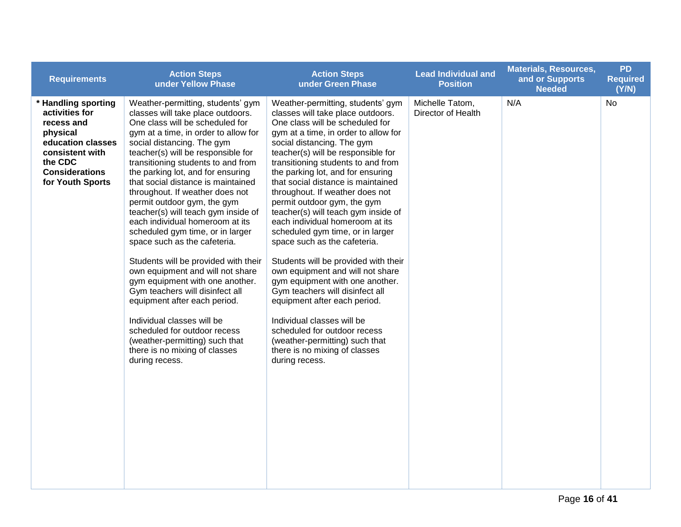| <b>Requirements</b>                                                                                                                                             | <b>Action Steps</b><br>under Yellow Phase                                                                                                                                                                                                                                                                                                                                                                                                                                                                                                                                                                                                                                                                                                                                                                                                                                                   | <b>Action Steps</b><br>under Green Phase                                                                                                                                                                                                                                                                                                                                                                                                                                                                                                                                                                                                                                                                                                                                                                                                                                                    | <b>Lead Individual and</b><br><b>Position</b> | <b>Materials, Resources,</b><br>and or Supports<br><b>Needed</b> | <b>PD</b><br><b>Required</b><br>(Y/N) |
|-----------------------------------------------------------------------------------------------------------------------------------------------------------------|---------------------------------------------------------------------------------------------------------------------------------------------------------------------------------------------------------------------------------------------------------------------------------------------------------------------------------------------------------------------------------------------------------------------------------------------------------------------------------------------------------------------------------------------------------------------------------------------------------------------------------------------------------------------------------------------------------------------------------------------------------------------------------------------------------------------------------------------------------------------------------------------|---------------------------------------------------------------------------------------------------------------------------------------------------------------------------------------------------------------------------------------------------------------------------------------------------------------------------------------------------------------------------------------------------------------------------------------------------------------------------------------------------------------------------------------------------------------------------------------------------------------------------------------------------------------------------------------------------------------------------------------------------------------------------------------------------------------------------------------------------------------------------------------------|-----------------------------------------------|------------------------------------------------------------------|---------------------------------------|
| * Handling sporting<br>activities for<br>recess and<br>physical<br>education classes<br>consistent with<br>the CDC<br><b>Considerations</b><br>for Youth Sports | Weather-permitting, students' gym<br>classes will take place outdoors.<br>One class will be scheduled for<br>gym at a time, in order to allow for<br>social distancing. The gym<br>teacher(s) will be responsible for<br>transitioning students to and from<br>the parking lot, and for ensuring<br>that social distance is maintained<br>throughout. If weather does not<br>permit outdoor gym, the gym<br>teacher(s) will teach gym inside of<br>each individual homeroom at its<br>scheduled gym time, or in larger<br>space such as the cafeteria.<br>Students will be provided with their<br>own equipment and will not share<br>gym equipment with one another.<br>Gym teachers will disinfect all<br>equipment after each period.<br>Individual classes will be<br>scheduled for outdoor recess<br>(weather-permitting) such that<br>there is no mixing of classes<br>during recess. | Weather-permitting, students' gym<br>classes will take place outdoors.<br>One class will be scheduled for<br>gym at a time, in order to allow for<br>social distancing. The gym<br>teacher(s) will be responsible for<br>transitioning students to and from<br>the parking lot, and for ensuring<br>that social distance is maintained<br>throughout. If weather does not<br>permit outdoor gym, the gym<br>teacher(s) will teach gym inside of<br>each individual homeroom at its<br>scheduled gym time, or in larger<br>space such as the cafeteria.<br>Students will be provided with their<br>own equipment and will not share<br>gym equipment with one another.<br>Gym teachers will disinfect all<br>equipment after each period.<br>Individual classes will be<br>scheduled for outdoor recess<br>(weather-permitting) such that<br>there is no mixing of classes<br>during recess. | Michelle Tatom,<br>Director of Health         | N/A                                                              | No                                    |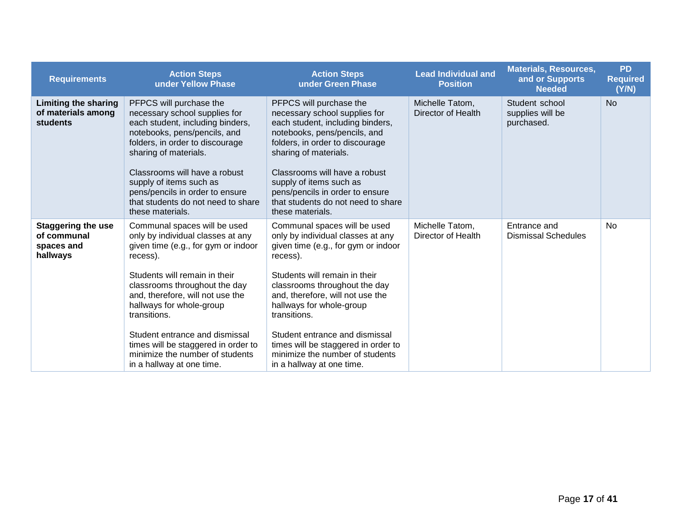| <b>Requirements</b>                                                  | <b>Action Steps</b><br>under Yellow Phase                                                                                                                                                                                                                                                                                                                                                                       | <b>Action Steps</b><br>under Green Phase                                                                                                                                                                                                                                                                                                                                                                        | <b>Lead Individual and</b><br><b>Position</b> | <b>Materials, Resources,</b><br>and or Supports<br><b>Needed</b> | <b>PD</b><br><b>Required</b><br>(Y/N) |
|----------------------------------------------------------------------|-----------------------------------------------------------------------------------------------------------------------------------------------------------------------------------------------------------------------------------------------------------------------------------------------------------------------------------------------------------------------------------------------------------------|-----------------------------------------------------------------------------------------------------------------------------------------------------------------------------------------------------------------------------------------------------------------------------------------------------------------------------------------------------------------------------------------------------------------|-----------------------------------------------|------------------------------------------------------------------|---------------------------------------|
| <b>Limiting the sharing</b><br>of materials among<br><b>students</b> | PFPCS will purchase the<br>necessary school supplies for<br>each student, including binders,<br>notebooks, pens/pencils, and<br>folders, in order to discourage<br>sharing of materials.<br>Classrooms will have a robust<br>supply of items such as<br>pens/pencils in order to ensure<br>that students do not need to share<br>these materials.                                                               | PFPCS will purchase the<br>necessary school supplies for<br>each student, including binders,<br>notebooks, pens/pencils, and<br>folders, in order to discourage<br>sharing of materials.<br>Classrooms will have a robust<br>supply of items such as<br>pens/pencils in order to ensure<br>that students do not need to share<br>these materials.                                                               | Michelle Tatom,<br>Director of Health         | Student school<br>supplies will be<br>purchased.                 | <b>No</b>                             |
| <b>Staggering the use</b><br>of communal<br>spaces and<br>hallways   | Communal spaces will be used<br>only by individual classes at any<br>given time (e.g., for gym or indoor<br>recess).<br>Students will remain in their<br>classrooms throughout the day<br>and, therefore, will not use the<br>hallways for whole-group<br>transitions.<br>Student entrance and dismissal<br>times will be staggered in order to<br>minimize the number of students<br>in a hallway at one time. | Communal spaces will be used<br>only by individual classes at any<br>given time (e.g., for gym or indoor<br>recess).<br>Students will remain in their<br>classrooms throughout the day<br>and, therefore, will not use the<br>hallways for whole-group<br>transitions.<br>Student entrance and dismissal<br>times will be staggered in order to<br>minimize the number of students<br>in a hallway at one time. | Michelle Tatom,<br>Director of Health         | Entrance and<br><b>Dismissal Schedules</b>                       | <b>No</b>                             |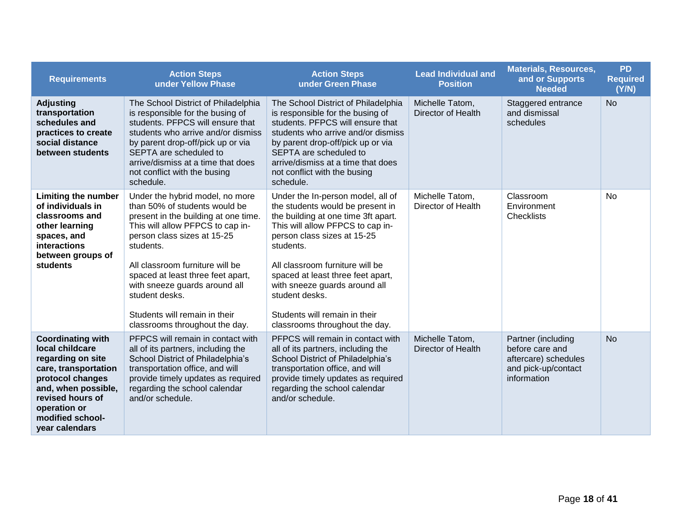| <b>Requirements</b>                                                                                                                                                                                           | <b>Action Steps</b><br>under Yellow Phase                                                                                                                                                                                                                                                                                                                                              | <b>Action Steps</b><br>under Green Phase                                                                                                                                                                                                                                                                                                                                                   | <b>Lead Individual and</b><br><b>Position</b> | <b>Materials, Resources,</b><br>and or Supports<br><b>Needed</b>                                    | <b>PD</b><br><b>Required</b><br>(Y/N) |
|---------------------------------------------------------------------------------------------------------------------------------------------------------------------------------------------------------------|----------------------------------------------------------------------------------------------------------------------------------------------------------------------------------------------------------------------------------------------------------------------------------------------------------------------------------------------------------------------------------------|--------------------------------------------------------------------------------------------------------------------------------------------------------------------------------------------------------------------------------------------------------------------------------------------------------------------------------------------------------------------------------------------|-----------------------------------------------|-----------------------------------------------------------------------------------------------------|---------------------------------------|
| <b>Adjusting</b><br>transportation<br>schedules and<br>practices to create<br>social distance<br>between students                                                                                             | The School District of Philadelphia<br>is responsible for the busing of<br>students. PFPCS will ensure that<br>students who arrive and/or dismiss<br>by parent drop-off/pick up or via<br>SEPTA are scheduled to<br>arrive/dismiss at a time that does<br>not conflict with the busing<br>schedule.                                                                                    | The School District of Philadelphia<br>is responsible for the busing of<br>students. PFPCS will ensure that<br>students who arrive and/or dismiss<br>by parent drop-off/pick up or via<br>SEPTA are scheduled to<br>arrive/dismiss at a time that does<br>not conflict with the busing<br>schedule.                                                                                        | Michelle Tatom,<br>Director of Health         | Staggered entrance<br>and dismissal<br>schedules                                                    | <b>No</b>                             |
| <b>Limiting the number</b><br>of individuals in<br>classrooms and<br>other learning<br>spaces, and<br>interactions<br>between groups of<br>students                                                           | Under the hybrid model, no more<br>than 50% of students would be<br>present in the building at one time.<br>This will allow PFPCS to cap in-<br>person class sizes at 15-25<br>students.<br>All classroom furniture will be<br>spaced at least three feet apart,<br>with sneeze guards around all<br>student desks.<br>Students will remain in their<br>classrooms throughout the day. | Under the In-person model, all of<br>the students would be present in<br>the building at one time 3ft apart.<br>This will allow PFPCS to cap in-<br>person class sizes at 15-25<br>students.<br>All classroom furniture will be<br>spaced at least three feet apart,<br>with sneeze guards around all<br>student desks.<br>Students will remain in their<br>classrooms throughout the day. | Michelle Tatom,<br>Director of Health         | Classroom<br>Environment<br><b>Checklists</b>                                                       | <b>No</b>                             |
| <b>Coordinating with</b><br>local childcare<br>regarding on site<br>care, transportation<br>protocol changes<br>and, when possible,<br>revised hours of<br>operation or<br>modified school-<br>year calendars | PFPCS will remain in contact with<br>all of its partners, including the<br>School District of Philadelphia's<br>transportation office, and will<br>provide timely updates as required<br>regarding the school calendar<br>and/or schedule.                                                                                                                                             | PFPCS will remain in contact with<br>all of its partners, including the<br>School District of Philadelphia's<br>transportation office, and will<br>provide timely updates as required<br>regarding the school calendar<br>and/or schedule.                                                                                                                                                 | Michelle Tatom,<br>Director of Health         | Partner (including<br>before care and<br>aftercare) schedules<br>and pick-up/contact<br>information | <b>No</b>                             |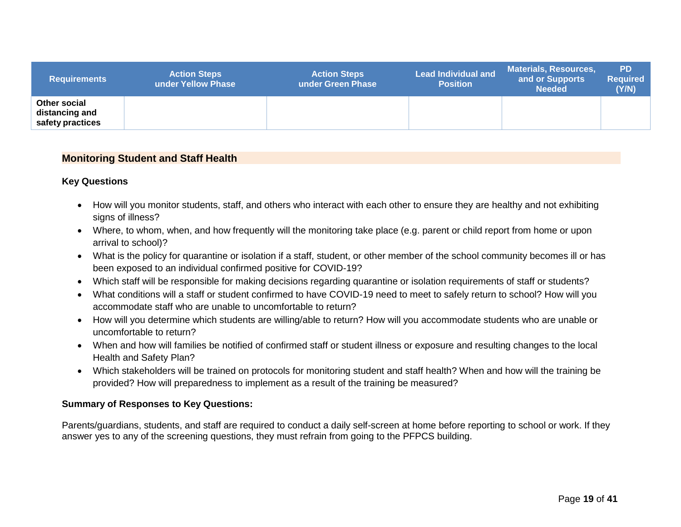| <b>Requirements</b>                                | <b>Action Steps</b><br>under Yellow Phase | <b>Action Steps</b><br>under Green Phase | <b>Lead Individual and</b><br><b>Position</b> | <b>Materials, Resources,</b><br>and or Supports<br><b>Needed</b> | <b>PD</b><br><b>Required</b><br>(Y/N) |
|----------------------------------------------------|-------------------------------------------|------------------------------------------|-----------------------------------------------|------------------------------------------------------------------|---------------------------------------|
| Other social<br>distancing and<br>safety practices |                                           |                                          |                                               |                                                                  |                                       |

#### **Monitoring Student and Staff Health**

#### **Key Questions**

- How will you monitor students, staff, and others who interact with each other to ensure they are healthy and not exhibiting signs of illness?
- Where, to whom, when, and how frequently will the monitoring take place (e.g. parent or child report from home or upon arrival to school)?
- What is the policy for quarantine or isolation if a staff, student, or other member of the school community becomes ill or has been exposed to an individual confirmed positive for COVID-19?
- Which staff will be responsible for making decisions regarding quarantine or isolation requirements of staff or students?
- What conditions will a staff or student confirmed to have COVID-19 need to meet to safely return to school? How will you accommodate staff who are unable to uncomfortable to return?
- <span id="page-17-0"></span> How will you determine which students are willing/able to return? How will you accommodate students who are unable or uncomfortable to return?
- When and how will families be notified of confirmed staff or student illness or exposure and resulting changes to the local Health and Safety Plan?
- Which stakeholders will be trained on protocols for monitoring student and staff health? When and how will the training be provided? How will preparedness to implement as a result of the training be measured?

#### **Summary of Responses to Key Questions:**

Parents/guardians, students, and staff are required to conduct a daily self-screen at home before reporting to school or work. If they answer yes to any of the screening questions, they must refrain from going to the PFPCS building.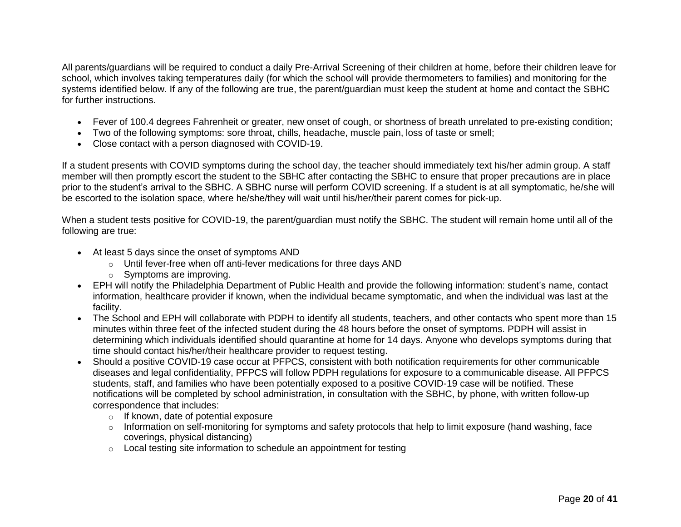All parents/guardians will be required to conduct a daily Pre-Arrival Screening of their children at home, before their children leave for school, which involves taking temperatures daily (for which the school will provide thermometers to families) and monitoring for the systems identified below. If any of the following are true, the parent/guardian must keep the student at home and contact the SBHC for further instructions.

- Fever of 100.4 degrees Fahrenheit or greater, new onset of cough, or shortness of breath unrelated to pre-existing condition;
- Two of the following symptoms: sore throat, chills, headache, muscle pain, loss of taste or smell;
- Close contact with a person diagnosed with COVID-19.

If a student presents with COVID symptoms during the school day, the teacher should immediately text his/her admin group. A staff member will then promptly escort the student to the SBHC after contacting the SBHC to ensure that proper precautions are in place prior to the student's arrival to the SBHC. A SBHC nurse will perform COVID screening. If a student is at all symptomatic, he/she will be escorted to the isolation space, where he/she/they will wait until his/her/their parent comes for pick-up.

When a student tests positive for COVID-19, the parent/guardian must notify the SBHC. The student will remain home until all of the following are true:

- At least 5 days since the onset of symptoms AND
	- o Until fever-free when off anti-fever medications for three days AND
	- o Symptoms are improving.
- EPH will notify the Philadelphia Department of Public Health and provide the following information: student's name, contact information, healthcare provider if known, when the individual became symptomatic, and when the individual was last at the facility.
- The School and EPH will collaborate with PDPH to identify all students, teachers, and other contacts who spent more than 15 minutes within three feet of the infected student during the 48 hours before the onset of symptoms. PDPH will assist in determining which individuals identified should quarantine at home for 14 days. Anyone who develops symptoms during that time should contact his/her/their healthcare provider to request testing.
- Should a positive COVID-19 case occur at PFPCS, consistent with both notification requirements for other communicable diseases and legal confidentiality, PFPCS will follow PDPH regulations for exposure to a communicable disease. All PFPCS students, staff, and families who have been potentially exposed to a positive COVID-19 case will be notified. These notifications will be completed by school administration, in consultation with the SBHC, by phone, with written follow-up correspondence that includes:
	- o If known, date of potential exposure
	- $\circ$  Information on self-monitoring for symptoms and safety protocols that help to limit exposure (hand washing, face coverings, physical distancing)
	- o Local testing site information to schedule an appointment for testing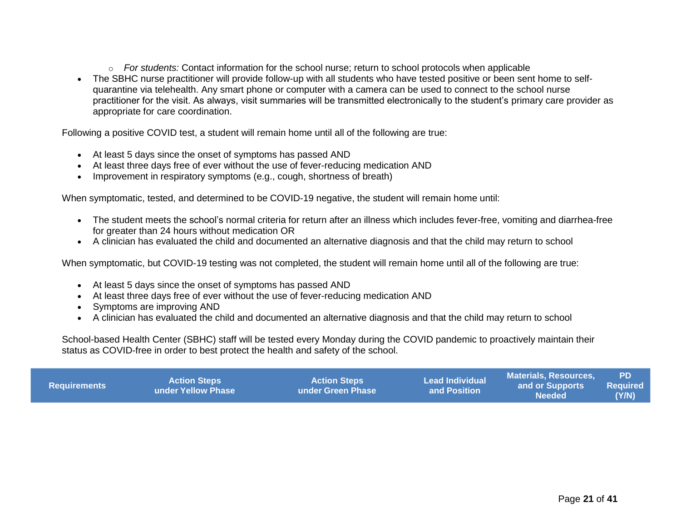- o *For students:* Contact information for the school nurse; return to school protocols when applicable
- The SBHC nurse practitioner will provide follow-up with all students who have tested positive or been sent home to selfquarantine via telehealth. Any smart phone or computer with a camera can be used to connect to the school nurse practitioner for the visit. As always, visit summaries will be transmitted electronically to the student's primary care provider as appropriate for care coordination.

Following a positive COVID test, a student will remain home until all of the following are true:

- At least 5 days since the onset of symptoms has passed AND
- At least three days free of ever without the use of fever-reducing medication AND
- Improvement in respiratory symptoms (e.g., cough, shortness of breath)

When symptomatic, tested, and determined to be COVID-19 negative, the student will remain home until:

- The student meets the school's normal criteria for return after an illness which includes fever-free, vomiting and diarrhea-free for greater than 24 hours without medication OR
- A clinician has evaluated the child and documented an alternative diagnosis and that the child may return to school

When symptomatic, but COVID-19 testing was not completed, the student will remain home until all of the following are true:

- At least 5 days since the onset of symptoms has passed AND
- At least three days free of ever without the use of fever-reducing medication AND
- Symptoms are improving AND
- A clinician has evaluated the child and documented an alternative diagnosis and that the child may return to school

School-based Health Center (SBHC) staff will be tested every Monday during the COVID pandemic to proactively maintain their status as COVID-free in order to best protect the health and safety of the school.

| <b>Requirements</b> | <b>Action Steps</b><br><b>Lunder Yellow Phase</b> | <b>Action Steps i</b><br>Lunder Green Phase \ | <b>Lead Individual</b><br>and Position | Materials. Resources.<br>and or Supports<br>Needed' | <b>PD</b><br>Required<br>(Y/N) |
|---------------------|---------------------------------------------------|-----------------------------------------------|----------------------------------------|-----------------------------------------------------|--------------------------------|
|---------------------|---------------------------------------------------|-----------------------------------------------|----------------------------------------|-----------------------------------------------------|--------------------------------|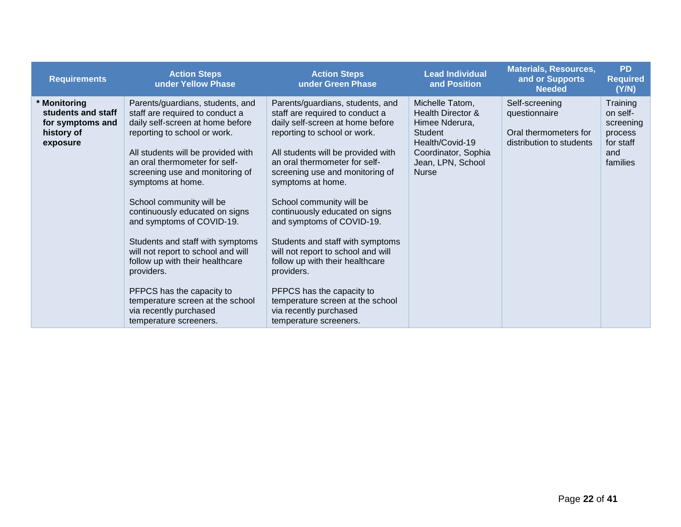| <b>Requirements</b>                                                              | <b>Action Steps</b><br>under Yellow Phase                                                                                                                                                                                                                                                                                                                                                                                                                                                                                                                                                                         | <b>Action Steps</b><br>under Green Phase                                                                                                                                                                                                                                                                                                                                                                                                                                                                                                                                                                          | <b>Lead Individual</b><br>and Position                                                                                                                  | <b>Materials, Resources,</b><br>and or Supports<br><b>Needed</b>                     | <b>PD</b><br><b>Required</b><br>(Y/N)                                        |
|----------------------------------------------------------------------------------|-------------------------------------------------------------------------------------------------------------------------------------------------------------------------------------------------------------------------------------------------------------------------------------------------------------------------------------------------------------------------------------------------------------------------------------------------------------------------------------------------------------------------------------------------------------------------------------------------------------------|-------------------------------------------------------------------------------------------------------------------------------------------------------------------------------------------------------------------------------------------------------------------------------------------------------------------------------------------------------------------------------------------------------------------------------------------------------------------------------------------------------------------------------------------------------------------------------------------------------------------|---------------------------------------------------------------------------------------------------------------------------------------------------------|--------------------------------------------------------------------------------------|------------------------------------------------------------------------------|
| * Monitoring<br>students and staff<br>for symptoms and<br>history of<br>exposure | Parents/guardians, students, and<br>staff are required to conduct a<br>daily self-screen at home before<br>reporting to school or work.<br>All students will be provided with<br>an oral thermometer for self-<br>screening use and monitoring of<br>symptoms at home.<br>School community will be<br>continuously educated on signs<br>and symptoms of COVID-19.<br>Students and staff with symptoms<br>will not report to school and will<br>follow up with their healthcare<br>providers.<br>PFPCS has the capacity to<br>temperature screen at the school<br>via recently purchased<br>temperature screeners. | Parents/guardians, students, and<br>staff are required to conduct a<br>daily self-screen at home before<br>reporting to school or work.<br>All students will be provided with<br>an oral thermometer for self-<br>screening use and monitoring of<br>symptoms at home.<br>School community will be<br>continuously educated on signs<br>and symptoms of COVID-19.<br>Students and staff with symptoms<br>will not report to school and will<br>follow up with their healthcare<br>providers.<br>PFPCS has the capacity to<br>temperature screen at the school<br>via recently purchased<br>temperature screeners. | Michelle Tatom,<br>Health Director &<br>Himee Nderura,<br><b>Student</b><br>Health/Covid-19<br>Coordinator, Sophia<br>Jean, LPN, School<br><b>Nurse</b> | Self-screening<br>questionnaire<br>Oral thermometers for<br>distribution to students | Training<br>on self-<br>screening<br>process<br>for staff<br>and<br>families |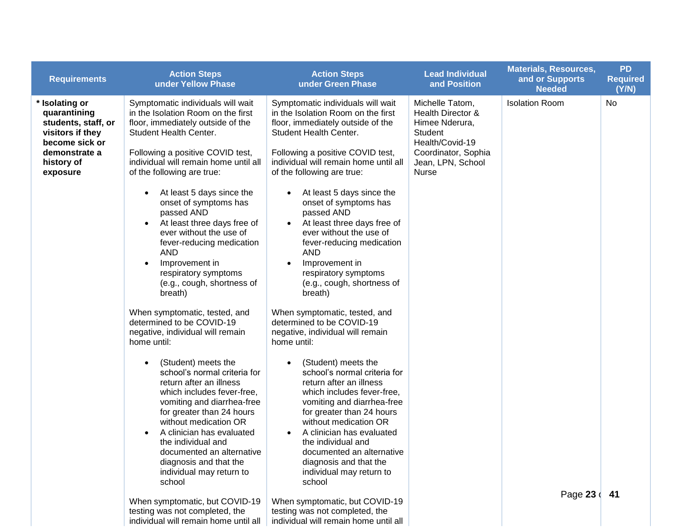| <b>Requirements</b>                                                                                                                    | <b>Action Steps</b><br>under Yellow Phase                                                                                                                                                                                                                                                                                                                                                                                                                                                                                                                                                                                                                | <b>Action Steps</b><br>under Green Phase                                                                                                                                                                                                                                                                                                                                                                                                                                                                                                                                                                                                                 | <b>Lead Individual</b><br>and Position                                                                                                           | <b>Materials, Resources,</b><br>and or Supports<br><b>Needed</b> | <b>PD</b><br><b>Required</b><br>(Y/N) |
|----------------------------------------------------------------------------------------------------------------------------------------|----------------------------------------------------------------------------------------------------------------------------------------------------------------------------------------------------------------------------------------------------------------------------------------------------------------------------------------------------------------------------------------------------------------------------------------------------------------------------------------------------------------------------------------------------------------------------------------------------------------------------------------------------------|----------------------------------------------------------------------------------------------------------------------------------------------------------------------------------------------------------------------------------------------------------------------------------------------------------------------------------------------------------------------------------------------------------------------------------------------------------------------------------------------------------------------------------------------------------------------------------------------------------------------------------------------------------|--------------------------------------------------------------------------------------------------------------------------------------------------|------------------------------------------------------------------|---------------------------------------|
| * Isolating or<br>quarantining<br>students, staff, or<br>visitors if they<br>become sick or<br>demonstrate a<br>history of<br>exposure | Symptomatic individuals will wait<br>in the Isolation Room on the first<br>floor, immediately outside of the<br>Student Health Center.<br>Following a positive COVID test,<br>individual will remain home until all<br>of the following are true:<br>At least 5 days since the<br>$\bullet$<br>onset of symptoms has<br>passed AND<br>At least three days free of<br>ever without the use of<br>fever-reducing medication<br><b>AND</b><br>Improvement in<br>$\bullet$<br>respiratory symptoms<br>(e.g., cough, shortness of<br>breath)<br>When symptomatic, tested, and<br>determined to be COVID-19<br>negative, individual will remain<br>home until: | Symptomatic individuals will wait<br>in the Isolation Room on the first<br>floor, immediately outside of the<br>Student Health Center.<br>Following a positive COVID test,<br>individual will remain home until all<br>of the following are true:<br>At least 5 days since the<br>$\bullet$<br>onset of symptoms has<br>passed AND<br>At least three days free of<br>$\bullet$<br>ever without the use of<br>fever-reducing medication<br><b>AND</b><br>Improvement in<br>respiratory symptoms<br>(e.g., cough, shortness of<br>breath)<br>When symptomatic, tested, and<br>determined to be COVID-19<br>negative, individual will remain<br>home until: | Michelle Tatom,<br>Health Director &<br>Himee Nderura,<br>Student<br>Health/Covid-19<br>Coordinator, Sophia<br>Jean, LPN, School<br><b>Nurse</b> | <b>Isolation Room</b>                                            | <b>No</b>                             |
|                                                                                                                                        | (Student) meets the<br>$\bullet$<br>school's normal criteria for<br>return after an illness<br>which includes fever-free,<br>vomiting and diarrhea-free<br>for greater than 24 hours<br>without medication OR<br>A clinician has evaluated<br>the individual and<br>documented an alternative<br>diagnosis and that the<br>individual may return to<br>school                                                                                                                                                                                                                                                                                            | (Student) meets the<br>school's normal criteria for<br>return after an illness<br>which includes fever-free,<br>vomiting and diarrhea-free<br>for greater than 24 hours<br>without medication OR<br>A clinician has evaluated<br>the individual and<br>documented an alternative<br>diagnosis and that the<br>individual may return to<br>school                                                                                                                                                                                                                                                                                                         |                                                                                                                                                  | Page 23 41                                                       |                                       |
|                                                                                                                                        | When symptomatic, but COVID-19<br>testing was not completed, the<br>individual will remain home until all                                                                                                                                                                                                                                                                                                                                                                                                                                                                                                                                                | When symptomatic, but COVID-19<br>testing was not completed, the<br>individual will remain home until all                                                                                                                                                                                                                                                                                                                                                                                                                                                                                                                                                |                                                                                                                                                  |                                                                  |                                       |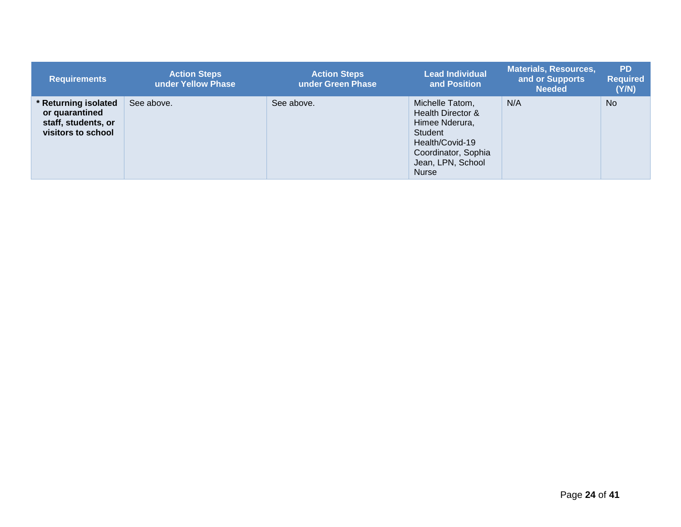| <b>Requirements</b>                                                               | <b>Action Steps</b><br>under Yellow Phase | <b>Action Steps</b><br>under Green Phase | <b>Lead Individual</b><br>and Position                                                                                                           | <b>Materials, Resources,</b><br>and or Supports<br><b>Needed</b> | <b>PD</b><br><b>Required</b><br>(Y/N) |
|-----------------------------------------------------------------------------------|-------------------------------------------|------------------------------------------|--------------------------------------------------------------------------------------------------------------------------------------------------|------------------------------------------------------------------|---------------------------------------|
| Returning isolated<br>or quarantined<br>staff, students, or<br>visitors to school | See above.                                | See above.                               | Michelle Tatom,<br>Health Director &<br>Himee Nderura,<br>Student<br>Health/Covid-19<br>Coordinator, Sophia<br>Jean, LPN, School<br><b>Nurse</b> | N/A                                                              | <b>No</b>                             |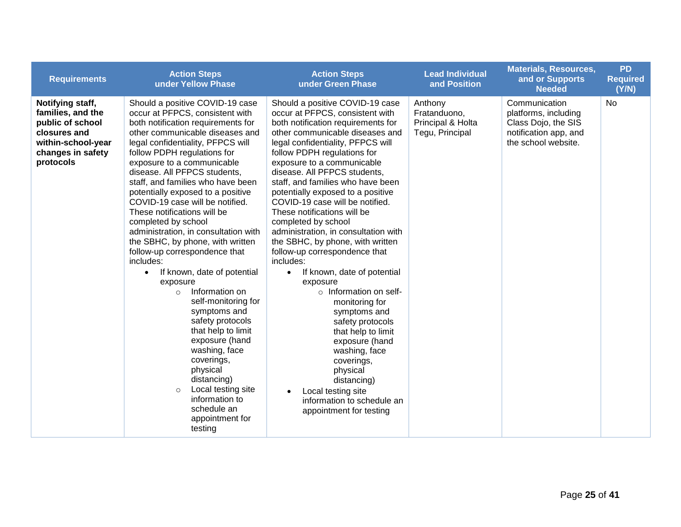| <b>Requirements</b>                                                                                                               | <b>Action Steps</b><br>under Yellow Phase                                                                                                                                                                                                                                                                                                                                                                                                                                                                                                                                                                                                                                                                                                                                                                                                                                                                                    | <b>Action Steps</b><br>under Green Phase                                                                                                                                                                                                                                                                                                                                                                                                                                                                                                                                                                                                                                                                                                                                                                                                                                                            | <b>Lead Individual</b><br>and Position                          | <b>Materials, Resources,</b><br>and or Supports<br><b>Needed</b>                                             | <b>PD</b><br><b>Required</b><br>(Y/N) |
|-----------------------------------------------------------------------------------------------------------------------------------|------------------------------------------------------------------------------------------------------------------------------------------------------------------------------------------------------------------------------------------------------------------------------------------------------------------------------------------------------------------------------------------------------------------------------------------------------------------------------------------------------------------------------------------------------------------------------------------------------------------------------------------------------------------------------------------------------------------------------------------------------------------------------------------------------------------------------------------------------------------------------------------------------------------------------|-----------------------------------------------------------------------------------------------------------------------------------------------------------------------------------------------------------------------------------------------------------------------------------------------------------------------------------------------------------------------------------------------------------------------------------------------------------------------------------------------------------------------------------------------------------------------------------------------------------------------------------------------------------------------------------------------------------------------------------------------------------------------------------------------------------------------------------------------------------------------------------------------------|-----------------------------------------------------------------|--------------------------------------------------------------------------------------------------------------|---------------------------------------|
| Notifying staff,<br>families, and the<br>public of school<br>closures and<br>within-school-year<br>changes in safety<br>protocols | Should a positive COVID-19 case<br>occur at PFPCS, consistent with<br>both notification requirements for<br>other communicable diseases and<br>legal confidentiality, PFPCS will<br>follow PDPH regulations for<br>exposure to a communicable<br>disease. All PFPCS students,<br>staff, and families who have been<br>potentially exposed to a positive<br>COVID-19 case will be notified.<br>These notifications will be<br>completed by school<br>administration, in consultation with<br>the SBHC, by phone, with written<br>follow-up correspondence that<br>includes:<br>If known, date of potential<br>$\bullet$<br>exposure<br>Information on<br>$\circ$<br>self-monitoring for<br>symptoms and<br>safety protocols<br>that help to limit<br>exposure (hand<br>washing, face<br>coverings,<br>physical<br>distancing)<br>Local testing site<br>$\circ$<br>information to<br>schedule an<br>appointment for<br>testing | Should a positive COVID-19 case<br>occur at PFPCS, consistent with<br>both notification requirements for<br>other communicable diseases and<br>legal confidentiality, PFPCS will<br>follow PDPH regulations for<br>exposure to a communicable<br>disease. All PFPCS students,<br>staff, and families who have been<br>potentially exposed to a positive<br>COVID-19 case will be notified.<br>These notifications will be<br>completed by school<br>administration, in consultation with<br>the SBHC, by phone, with written<br>follow-up correspondence that<br>includes:<br>If known, date of potential<br>$\bullet$<br>exposure<br>o Information on self-<br>monitoring for<br>symptoms and<br>safety protocols<br>that help to limit<br>exposure (hand<br>washing, face<br>coverings,<br>physical<br>distancing)<br>Local testing site<br>information to schedule an<br>appointment for testing | Anthony<br>Fratanduono,<br>Principal & Holta<br>Tegu, Principal | Communication<br>platforms, including<br>Class Dojo, the SIS<br>notification app, and<br>the school website. | <b>No</b>                             |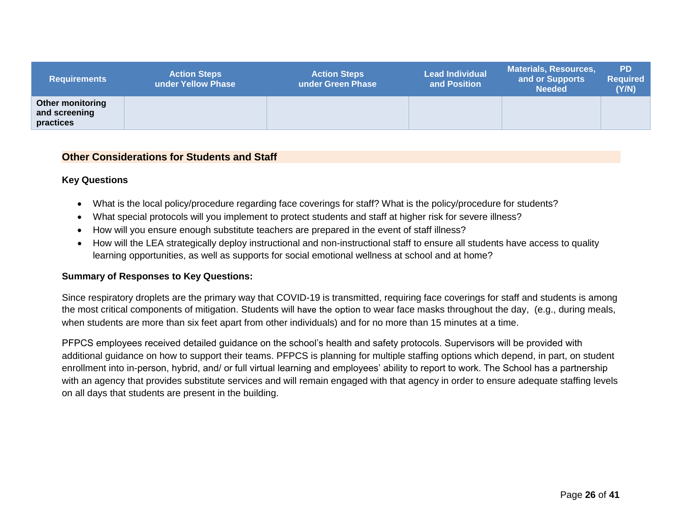| <b>Requirements</b>                                   | <b>Action Steps</b><br>under Yellow Phase | <b>Action Steps</b><br>under Green Phase | <b>Lead Individual</b><br>and Position | <b>Materials, Resources,</b><br>and or Supports<br><b>Needed</b> | <b>PD</b><br><b>Required</b><br>(Y/N) |
|-------------------------------------------------------|-------------------------------------------|------------------------------------------|----------------------------------------|------------------------------------------------------------------|---------------------------------------|
| <b>Other monitoring</b><br>and screening<br>practices |                                           |                                          |                                        |                                                                  |                                       |

#### **Other Considerations for Students and Staff**

#### **Key Questions**

- What is the local policy/procedure regarding face coverings for staff? What is the policy/procedure for students?
- What special protocols will you implement to protect students and staff at higher risk for severe illness?
- How will you ensure enough substitute teachers are prepared in the event of staff illness?
- How will the LEA strategically deploy instructional and non-instructional staff to ensure all students have access to quality learning opportunities, as well as supports for social emotional wellness at school and at home?

#### **Summary of Responses to Key Questions:**

<span id="page-24-0"></span>Since respiratory droplets are the primary way that COVID-19 is transmitted, requiring face coverings for staff and students is among the most critical components of mitigation. Students will have the option to wear face masks throughout the day, (e.g., during meals, when students are more than six feet apart from other individuals) and for no more than 15 minutes at a time.

PFPCS employees received detailed guidance on the school's health and safety protocols. Supervisors will be provided with additional guidance on how to support their teams. PFPCS is planning for multiple staffing options which depend, in part, on student enrollment into in-person, hybrid, and/ or full virtual learning and employees' ability to report to work. The School has a partnership with an agency that provides substitute services and will remain engaged with that agency in order to ensure adequate staffing levels on all days that students are present in the building.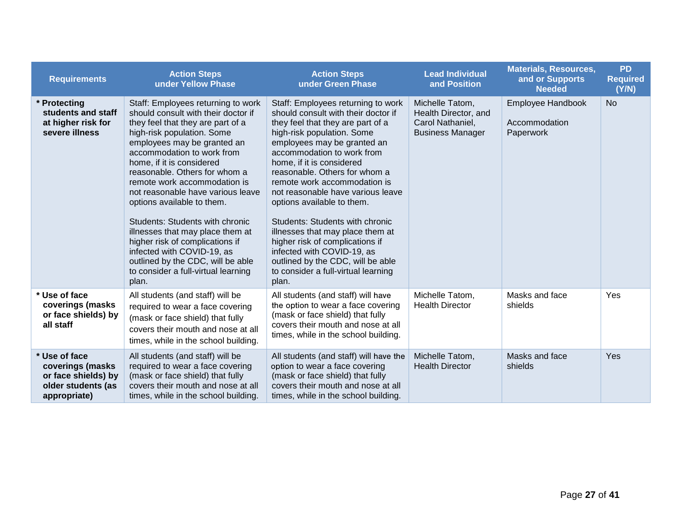| <b>Requirements</b>                                                                            | <b>Action Steps</b><br>under Yellow Phase                                                                                                                                                                                                                                                                                                                                                                                                                                                                                                                                                               | <b>Action Steps</b><br>under Green Phase                                                                                                                                                                                                                                                                                                                                                                                                                                                                                                                                                                | <b>Lead Individual</b><br>and Position                                                 | <b>Materials, Resources,</b><br>and or Supports<br><b>Needed</b> | <b>PD</b><br><b>Required</b><br>(Y/N) |
|------------------------------------------------------------------------------------------------|---------------------------------------------------------------------------------------------------------------------------------------------------------------------------------------------------------------------------------------------------------------------------------------------------------------------------------------------------------------------------------------------------------------------------------------------------------------------------------------------------------------------------------------------------------------------------------------------------------|---------------------------------------------------------------------------------------------------------------------------------------------------------------------------------------------------------------------------------------------------------------------------------------------------------------------------------------------------------------------------------------------------------------------------------------------------------------------------------------------------------------------------------------------------------------------------------------------------------|----------------------------------------------------------------------------------------|------------------------------------------------------------------|---------------------------------------|
| Protecting<br>students and staff<br>at higher risk for<br>severe illness                       | Staff: Employees returning to work<br>should consult with their doctor if<br>they feel that they are part of a<br>high-risk population. Some<br>employees may be granted an<br>accommodation to work from<br>home, if it is considered<br>reasonable. Others for whom a<br>remote work accommodation is<br>not reasonable have various leave<br>options available to them.<br>Students: Students with chronic<br>illnesses that may place them at<br>higher risk of complications if<br>infected with COVID-19, as<br>outlined by the CDC, will be able<br>to consider a full-virtual learning<br>plan. | Staff: Employees returning to work<br>should consult with their doctor if<br>they feel that they are part of a<br>high-risk population. Some<br>employees may be granted an<br>accommodation to work from<br>home, if it is considered<br>reasonable. Others for whom a<br>remote work accommodation is<br>not reasonable have various leave<br>options available to them.<br>Students: Students with chronic<br>illnesses that may place them at<br>higher risk of complications if<br>infected with COVID-19, as<br>outlined by the CDC, will be able<br>to consider a full-virtual learning<br>plan. | Michelle Tatom,<br>Health Director, and<br>Carol Nathaniel,<br><b>Business Manager</b> | Employee Handbook<br>Accommodation<br>Paperwork                  | <b>No</b>                             |
| Use of face<br>coverings (masks<br>or face shields) by<br>all staff                            | All students (and staff) will be<br>required to wear a face covering<br>(mask or face shield) that fully<br>covers their mouth and nose at all<br>times, while in the school building.                                                                                                                                                                                                                                                                                                                                                                                                                  | All students (and staff) will have<br>the option to wear a face covering<br>(mask or face shield) that fully<br>covers their mouth and nose at all<br>times, while in the school building.                                                                                                                                                                                                                                                                                                                                                                                                              | Michelle Tatom,<br><b>Health Director</b>                                              | Masks and face<br>shields                                        | Yes                                   |
| * Use of face<br>coverings (masks<br>or face shields) by<br>older students (as<br>appropriate) | All students (and staff) will be<br>required to wear a face covering<br>(mask or face shield) that fully<br>covers their mouth and nose at all<br>times, while in the school building.                                                                                                                                                                                                                                                                                                                                                                                                                  | All students (and staff) will have the<br>option to wear a face covering<br>(mask or face shield) that fully<br>covers their mouth and nose at all<br>times, while in the school building.                                                                                                                                                                                                                                                                                                                                                                                                              | Michelle Tatom,<br><b>Health Director</b>                                              | Masks and face<br>shields                                        | Yes                                   |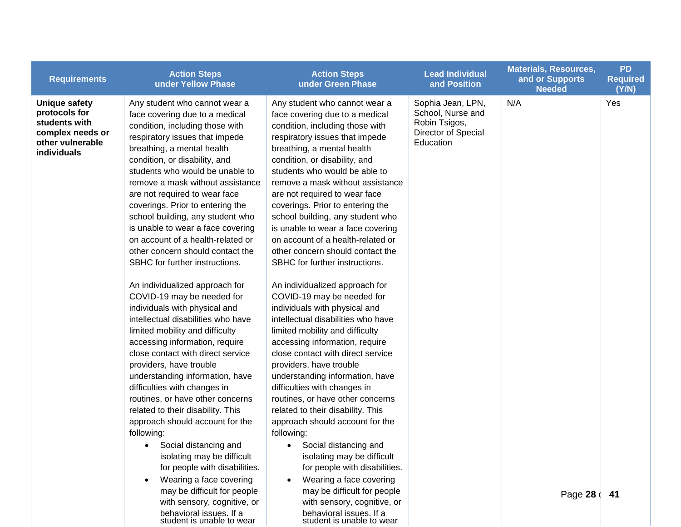| <b>Requirements</b>                                                                                           | <b>Action Steps</b><br>under Yellow Phase                                                                                                                                                                                                                                                                                                                                                                                                                                                                                                                                                                                                                                                                                                                                                                                                                                                                                                                                                                                                                                                                                                    | <b>Action Steps</b><br>under Green Phase                                                                                                                                                                                                                                                                                                                                                                                                                                                                                                                                                                                                                                                                                                                                                                                                                                                                                                                                                                                                                                                                                                   | <b>Lead Individual</b><br>and Position                                                      | <b>Materials, Resources,</b><br>and or Supports<br><b>Needed</b> | <b>PD</b><br><b>Required</b><br>(Y/N) |
|---------------------------------------------------------------------------------------------------------------|----------------------------------------------------------------------------------------------------------------------------------------------------------------------------------------------------------------------------------------------------------------------------------------------------------------------------------------------------------------------------------------------------------------------------------------------------------------------------------------------------------------------------------------------------------------------------------------------------------------------------------------------------------------------------------------------------------------------------------------------------------------------------------------------------------------------------------------------------------------------------------------------------------------------------------------------------------------------------------------------------------------------------------------------------------------------------------------------------------------------------------------------|--------------------------------------------------------------------------------------------------------------------------------------------------------------------------------------------------------------------------------------------------------------------------------------------------------------------------------------------------------------------------------------------------------------------------------------------------------------------------------------------------------------------------------------------------------------------------------------------------------------------------------------------------------------------------------------------------------------------------------------------------------------------------------------------------------------------------------------------------------------------------------------------------------------------------------------------------------------------------------------------------------------------------------------------------------------------------------------------------------------------------------------------|---------------------------------------------------------------------------------------------|------------------------------------------------------------------|---------------------------------------|
| <b>Unique safety</b><br>protocols for<br>students with<br>complex needs or<br>other vulnerable<br>individuals | Any student who cannot wear a<br>face covering due to a medical<br>condition, including those with<br>respiratory issues that impede<br>breathing, a mental health<br>condition, or disability, and<br>students who would be unable to<br>remove a mask without assistance<br>are not required to wear face<br>coverings. Prior to entering the<br>school building, any student who<br>is unable to wear a face covering<br>on account of a health-related or<br>other concern should contact the<br>SBHC for further instructions.<br>An individualized approach for<br>COVID-19 may be needed for<br>individuals with physical and<br>intellectual disabilities who have<br>limited mobility and difficulty<br>accessing information, require<br>close contact with direct service<br>providers, have trouble<br>understanding information, have<br>difficulties with changes in<br>routines, or have other concerns<br>related to their disability. This<br>approach should account for the<br>following:<br>Social distancing and<br>$\bullet$<br>isolating may be difficult<br>for people with disabilities.<br>Wearing a face covering | Any student who cannot wear a<br>face covering due to a medical<br>condition, including those with<br>respiratory issues that impede<br>breathing, a mental health<br>condition, or disability, and<br>students who would be able to<br>remove a mask without assistance<br>are not required to wear face<br>coverings. Prior to entering the<br>school building, any student who<br>is unable to wear a face covering<br>on account of a health-related or<br>other concern should contact the<br>SBHC for further instructions.<br>An individualized approach for<br>COVID-19 may be needed for<br>individuals with physical and<br>intellectual disabilities who have<br>limited mobility and difficulty<br>accessing information, require<br>close contact with direct service<br>providers, have trouble<br>understanding information, have<br>difficulties with changes in<br>routines, or have other concerns<br>related to their disability. This<br>approach should account for the<br>following:<br>Social distancing and<br>$\bullet$<br>isolating may be difficult<br>for people with disabilities.<br>Wearing a face covering | Sophia Jean, LPN,<br>School, Nurse and<br>Robin Tsigos,<br>Director of Special<br>Education | N/A                                                              | Yes                                   |
|                                                                                                               | may be difficult for people<br>with sensory, cognitive, or<br>behavioral issues. If a                                                                                                                                                                                                                                                                                                                                                                                                                                                                                                                                                                                                                                                                                                                                                                                                                                                                                                                                                                                                                                                        | may be difficult for people<br>with sensory, cognitive, or<br>behavioral issues. If a                                                                                                                                                                                                                                                                                                                                                                                                                                                                                                                                                                                                                                                                                                                                                                                                                                                                                                                                                                                                                                                      |                                                                                             | Page 28 (41                                                      |                                       |

student is unable to wear

student is unable to wear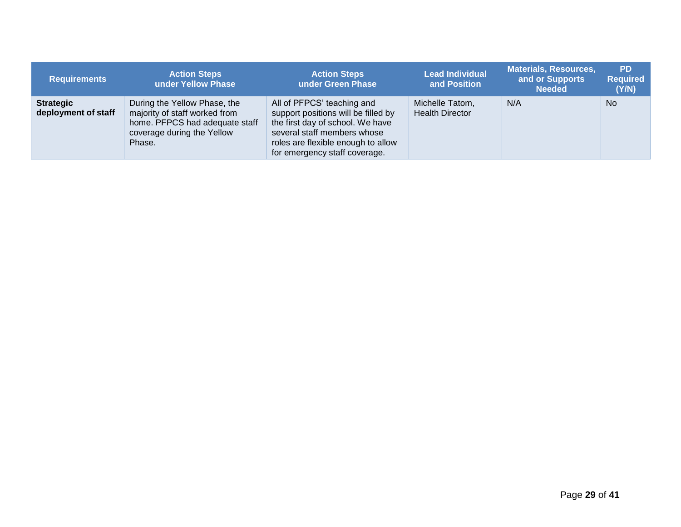| <b>Requirements</b>                     | <b>Action Steps</b><br>under Yellow Phase                                                                                               | <b>Action Steps</b><br>under Green Phase                                                                                                                                                                    | <b>Lead Individual</b><br>and Position    | <b>Materials, Resources,</b><br>and or Supports<br><b>Needed</b> | <b>PD</b><br><b>Required</b><br>(Y/N) |
|-----------------------------------------|-----------------------------------------------------------------------------------------------------------------------------------------|-------------------------------------------------------------------------------------------------------------------------------------------------------------------------------------------------------------|-------------------------------------------|------------------------------------------------------------------|---------------------------------------|
| <b>Strategic</b><br>deployment of staff | During the Yellow Phase, the<br>majority of staff worked from<br>home. PFPCS had adequate staff<br>coverage during the Yellow<br>Phase. | All of PFPCS' teaching and<br>support positions will be filled by<br>the first day of school. We have<br>several staff members whose<br>roles are flexible enough to allow<br>for emergency staff coverage. | Michelle Tatom,<br><b>Health Director</b> | N/A                                                              | <b>No</b>                             |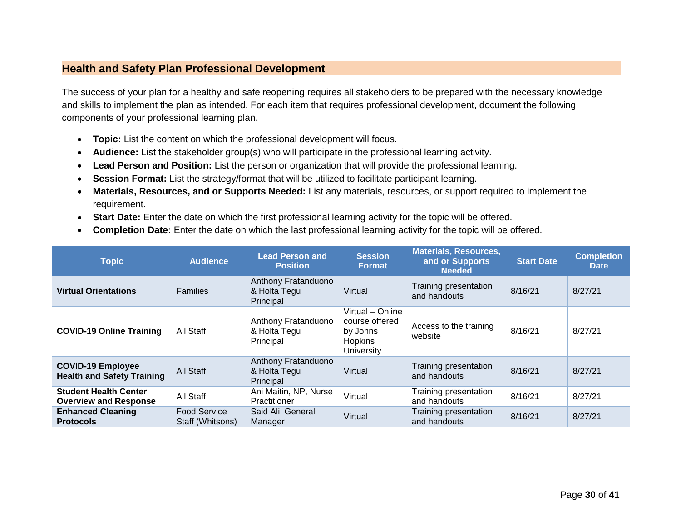#### **Health and Safety Plan Professional Development**

The success of your plan for a healthy and safe reopening requires all stakeholders to be prepared with the necessary knowledge and skills to implement the plan as intended. For each item that requires professional development, document the following components of your professional learning plan.

- **Topic:** List the content on which the professional development will focus.
- **Audience:** List the stakeholder group(s) who will participate in the professional learning activity.
- **Lead Person and Position:** List the person or organization that will provide the professional learning.
- **Session Format:** List the strategy/format that will be utilized to facilitate participant learning.
- **Materials, Resources, and or Supports Needed:** List any materials, resources, or support required to implement the requirement.
- **Start Date:** Enter the date on which the first professional learning activity for the topic will be offered.
- **Completion Date:** Enter the date on which the last professional learning activity for the topic will be offered.

<span id="page-28-0"></span>

| <b>Topic</b>                                                  | <b>Audience</b>                         | <b>Lead Person and</b><br><b>Position</b>        | <b>Session</b><br><b>Format</b>                                                       | <b>Materials, Resources,</b><br>and or Supports<br><b>Needed</b> | <b>Start Date</b> | <b>Completion</b><br><b>Date</b> |
|---------------------------------------------------------------|-----------------------------------------|--------------------------------------------------|---------------------------------------------------------------------------------------|------------------------------------------------------------------|-------------------|----------------------------------|
| <b>Virtual Orientations</b>                                   | <b>Families</b>                         | Anthony Fratanduono<br>& Holta Tegu<br>Principal | Virtual                                                                               | Training presentation<br>and handouts                            | 8/16/21           | 8/27/21                          |
| <b>COVID-19 Online Training</b>                               | All Staff                               | Anthony Fratanduono<br>& Holta Tegu<br>Principal | Virtual - Online<br>course offered<br>by Johns<br><b>Hopkins</b><br><b>University</b> | Access to the training<br>website                                | 8/16/21           | 8/27/21                          |
| <b>COVID-19 Employee</b><br><b>Health and Safety Training</b> | All Staff                               | Anthony Fratanduono<br>& Holta Tegu<br>Principal | Virtual                                                                               | Training presentation<br>and handouts                            | 8/16/21           | 8/27/21                          |
| <b>Student Health Center</b><br><b>Overview and Response</b>  | All Staff                               | Ani Maitin, NP, Nurse<br>Practitioner            | Virtual                                                                               | Training presentation<br>and handouts                            | 8/16/21           | 8/27/21                          |
| <b>Enhanced Cleaning</b><br><b>Protocols</b>                  | <b>Food Service</b><br>Staff (Whitsons) | Said Ali, General<br>Manager                     | Virtual                                                                               | Training presentation<br>and handouts                            | 8/16/21           | 8/27/21                          |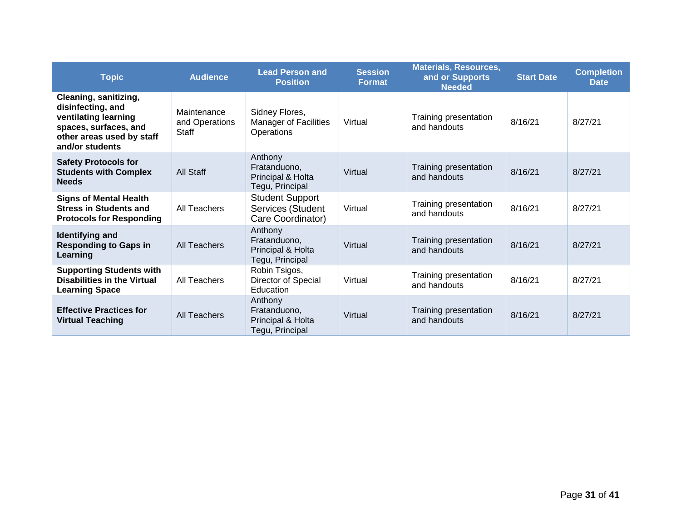| <b>Topic</b>                                                                                                                                | <b>Audience</b>                        | <b>Lead Person and</b><br><b>Position</b>                        | <b>Session</b><br><b>Format</b> | <b>Materials, Resources,</b><br>and or Supports<br><b>Needed</b> | <b>Start Date</b> | <b>Completion</b><br><b>Date</b> |
|---------------------------------------------------------------------------------------------------------------------------------------------|----------------------------------------|------------------------------------------------------------------|---------------------------------|------------------------------------------------------------------|-------------------|----------------------------------|
| Cleaning, sanitizing,<br>disinfecting, and<br>ventilating learning<br>spaces, surfaces, and<br>other areas used by staff<br>and/or students | Maintenance<br>and Operations<br>Staff | Sidney Flores,<br><b>Manager of Facilities</b><br>Operations     | Virtual                         | Training presentation<br>and handouts                            | 8/16/21           | 8/27/21                          |
| <b>Safety Protocols for</b><br><b>Students with Complex</b><br><b>Needs</b>                                                                 | All Staff                              | Anthony<br>Fratanduono,<br>Principal & Holta<br>Tegu, Principal  | Virtual                         | Training presentation<br>and handouts                            | 8/16/21           | 8/27/21                          |
| <b>Signs of Mental Health</b><br><b>Stress in Students and</b><br><b>Protocols for Responding</b>                                           | All Teachers                           | <b>Student Support</b><br>Services (Student<br>Care Coordinator) | Virtual                         | Training presentation<br>and handouts                            | 8/16/21           | 8/27/21                          |
| Anthony<br>Identifying and<br>Fratanduono,<br><b>Responding to Gaps in</b><br>All Teachers<br>Principal & Holta<br>Learning                 |                                        | Tegu, Principal                                                  | Virtual                         | Training presentation<br>and handouts                            | 8/16/21           | 8/27/21                          |
| <b>Supporting Students with</b><br><b>Disabilities in the Virtual</b><br><b>Learning Space</b>                                              | All Teachers                           | Robin Tsigos,<br>Director of Special<br>Education                | Virtual                         | Training presentation<br>and handouts                            | 8/16/21           | 8/27/21                          |
| <b>Effective Practices for</b><br><b>Virtual Teaching</b>                                                                                   | All Teachers                           | Anthony<br>Fratanduono,<br>Principal & Holta<br>Tegu, Principal  | Virtual                         | Training presentation<br>and handouts                            | 8/16/21           | 8/27/21                          |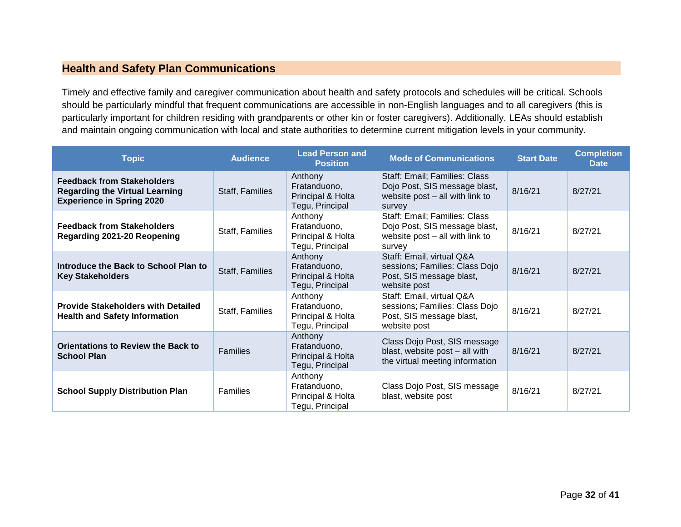#### **Health and Safety Plan Communications**

Timely and effective family and caregiver communication about health and safety protocols and schedules will be critical. Schools should be particularly mindful that frequent communications are accessible in non-English languages and to all caregivers (this is particularly important for children residing with grandparents or other kin or foster caregivers). Additionally, LEAs should establish and maintain ongoing communication with local and state authorities to determine current mitigation levels in your community.

<span id="page-30-0"></span>

| <b>Topic</b>                                                                                                   | <b>Audience</b> | <b>Lead Person and</b><br><b>Position</b>                       | <b>Mode of Communications</b>                                                                               | <b>Start Date</b> | <b>Completion</b><br><b>Date</b> |
|----------------------------------------------------------------------------------------------------------------|-----------------|-----------------------------------------------------------------|-------------------------------------------------------------------------------------------------------------|-------------------|----------------------------------|
| <b>Feedback from Stakeholders</b><br><b>Regarding the Virtual Learning</b><br><b>Experience in Spring 2020</b> | Staff, Families | Anthony<br>Fratanduono,<br>Principal & Holta<br>Tegu, Principal | Staff: Email; Families: Class<br>Dojo Post, SIS message blast,<br>website post - all with link to<br>survey | 8/16/21           | 8/27/21                          |
| <b>Feedback from Stakeholders</b><br>Regarding 2021-20 Reopening                                               | Staff, Families | Anthony<br>Fratanduono,<br>Principal & Holta<br>Tegu, Principal | Staff: Email; Families: Class<br>Dojo Post, SIS message blast,<br>website post - all with link to<br>survey | 8/16/21           | 8/27/21                          |
| Introduce the Back to School Plan to<br><b>Key Stakeholders</b>                                                | Staff, Families | Anthony<br>Fratanduono,<br>Principal & Holta<br>Tegu, Principal | Staff: Email, virtual Q&A<br>sessions; Families: Class Dojo<br>Post, SIS message blast,<br>website post     | 8/16/21           | 8/27/21                          |
| <b>Provide Stakeholders with Detailed</b><br><b>Health and Safety Information</b>                              | Staff, Families | Anthony<br>Fratanduono,<br>Principal & Holta<br>Tegu, Principal | Staff: Email, virtual Q&A<br>sessions; Families: Class Dojo<br>Post, SIS message blast,<br>website post     | 8/16/21           | 8/27/21                          |
| <b>Orientations to Review the Back to</b><br><b>School Plan</b>                                                | Families        | Anthony<br>Fratanduono.<br>Principal & Holta<br>Tegu, Principal | Class Dojo Post, SIS message<br>blast, website post - all with<br>the virtual meeting information           | 8/16/21           | 8/27/21                          |
| <b>School Supply Distribution Plan</b>                                                                         | Families        | Anthony<br>Fratanduono,<br>Principal & Holta<br>Tegu, Principal | Class Dojo Post, SIS message<br>blast, website post                                                         | 8/16/21           | 8/27/21                          |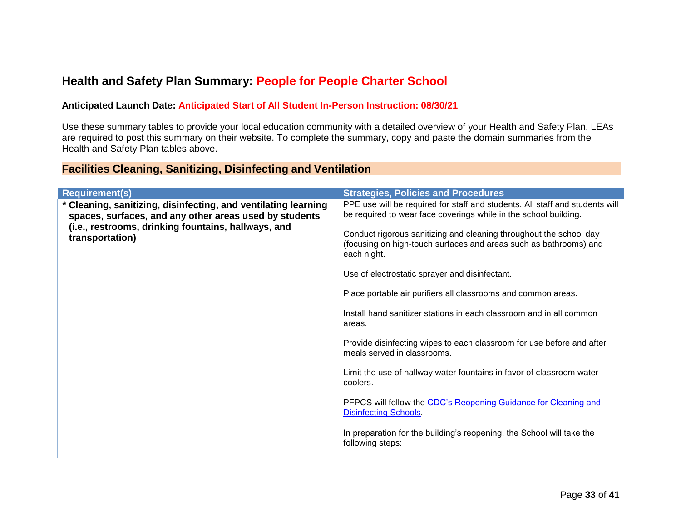### **Health and Safety Plan Summary: People for People Charter School**

#### **Anticipated Launch Date: Anticipated Start of All Student In-Person Instruction: 08/30/21**

Use these summary tables to provide your local education community with a detailed overview of your Health and Safety Plan. LEAs are required to post this summary on their website. To complete the summary, copy and paste the domain summaries from the Health and Safety Plan tables above.

#### **Facilities Cleaning, Sanitizing, Disinfecting and Ventilation**

<span id="page-31-1"></span><span id="page-31-0"></span>

| <b>Requirement(s)</b>                                                                                                                                                                              | <b>Strategies, Policies and Procedures</b>                                                                                                                                                                             |
|----------------------------------------------------------------------------------------------------------------------------------------------------------------------------------------------------|------------------------------------------------------------------------------------------------------------------------------------------------------------------------------------------------------------------------|
| * Cleaning, sanitizing, disinfecting, and ventilating learning<br>spaces, surfaces, and any other areas used by students<br>(i.e., restrooms, drinking fountains, hallways, and<br>transportation) | PPE use will be required for staff and students. All staff and students will<br>be required to wear face coverings while in the school building.<br>Conduct rigorous sanitizing and cleaning throughout the school day |
|                                                                                                                                                                                                    | (focusing on high-touch surfaces and areas such as bathrooms) and<br>each night.                                                                                                                                       |
|                                                                                                                                                                                                    | Use of electrostatic sprayer and disinfectant.                                                                                                                                                                         |
|                                                                                                                                                                                                    | Place portable air purifiers all classrooms and common areas.                                                                                                                                                          |
|                                                                                                                                                                                                    | Install hand sanitizer stations in each classroom and in all common<br>areas.                                                                                                                                          |
|                                                                                                                                                                                                    | Provide disinfecting wipes to each classroom for use before and after<br>meals served in classrooms.                                                                                                                   |
|                                                                                                                                                                                                    | Limit the use of hallway water fountains in favor of classroom water<br>coolers.                                                                                                                                       |
|                                                                                                                                                                                                    | PFPCS will follow the CDC's Reopening Guidance for Cleaning and<br><b>Disinfecting Schools.</b>                                                                                                                        |
|                                                                                                                                                                                                    | In preparation for the building's reopening, the School will take the<br>following steps:                                                                                                                              |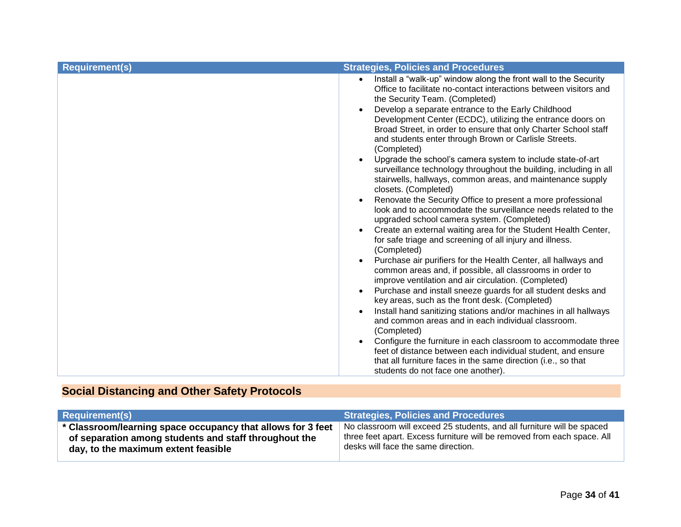| Install a "walk-up" window along the front wall to the Security<br>$\bullet$<br>Office to facilitate no-contact interactions between visitors and<br>the Security Team. (Completed)<br>Develop a separate entrance to the Early Childhood<br>Development Center (ECDC), utilizing the entrance doors on<br>Broad Street, in order to ensure that only Charter School staff<br>and students enter through Brown or Carlisle Streets.<br>(Completed)<br>Upgrade the school's camera system to include state-of-art<br>surveillance technology throughout the building, including in all<br>stairwells, hallways, common areas, and maintenance supply<br>closets. (Completed)<br>Renovate the Security Office to present a more professional<br>look and to accommodate the surveillance needs related to the<br>upgraded school camera system. (Completed)<br>Create an external waiting area for the Student Health Center,<br>for safe triage and screening of all injury and illness.<br>(Completed)<br>Purchase air purifiers for the Health Center, all hallways and<br>common areas and, if possible, all classrooms in order to<br>improve ventilation and air circulation. (Completed)<br>Purchase and install sneeze guards for all student desks and<br>key areas, such as the front desk. (Completed)<br>Install hand sanitizing stations and/or machines in all hallways<br>and common areas and in each individual classroom.<br>(Completed)<br>Configure the furniture in each classroom to accommodate three<br>feet of distance between each individual student, and ensure<br>that all furniture faces in the same direction (i.e., so that<br>students do not face one another). | <b>Requirement(s)</b> | <b>Strategies, Policies and Procedures</b> |
|---------------------------------------------------------------------------------------------------------------------------------------------------------------------------------------------------------------------------------------------------------------------------------------------------------------------------------------------------------------------------------------------------------------------------------------------------------------------------------------------------------------------------------------------------------------------------------------------------------------------------------------------------------------------------------------------------------------------------------------------------------------------------------------------------------------------------------------------------------------------------------------------------------------------------------------------------------------------------------------------------------------------------------------------------------------------------------------------------------------------------------------------------------------------------------------------------------------------------------------------------------------------------------------------------------------------------------------------------------------------------------------------------------------------------------------------------------------------------------------------------------------------------------------------------------------------------------------------------------------------------------------------------------------------------------------------------|-----------------------|--------------------------------------------|
|                                                                                                                                                                                                                                                                                                                                                                                                                                                                                                                                                                                                                                                                                                                                                                                                                                                                                                                                                                                                                                                                                                                                                                                                                                                                                                                                                                                                                                                                                                                                                                                                                                                                                                   |                       |                                            |

## **Social Distancing and Other Safety Protocols**

<span id="page-32-0"></span>

| <b>Requirement(s)</b>                                       | <b>Strategies, Policies and Procedures</b>                              |
|-------------------------------------------------------------|-------------------------------------------------------------------------|
| * Classroom/learning space occupancy that allows for 3 feet | No classroom will exceed 25 students, and all furniture will be spaced  |
| of separation among students and staff throughout the       | three feet apart. Excess furniture will be removed from each space. All |
| day, to the maximum extent feasible                         | desks will face the same direction.                                     |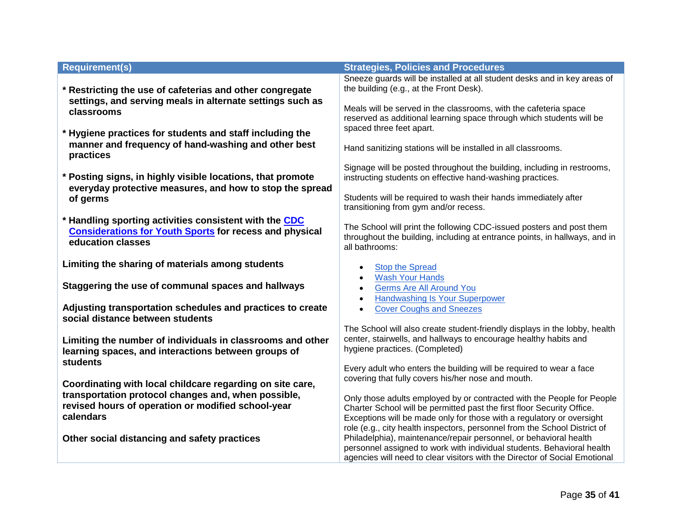| <b>Requirement(s)</b>                                                                                                                                                               | <b>Strategies, Policies and Procedures</b>                                                                                                                                                                                                                                                             |
|-------------------------------------------------------------------------------------------------------------------------------------------------------------------------------------|--------------------------------------------------------------------------------------------------------------------------------------------------------------------------------------------------------------------------------------------------------------------------------------------------------|
| * Restricting the use of cafeterias and other congregate                                                                                                                            | Sneeze guards will be installed at all student desks and in key areas of<br>the building (e.g., at the Front Desk).                                                                                                                                                                                    |
| settings, and serving meals in alternate settings such as<br>classrooms                                                                                                             | Meals will be served in the classrooms, with the cafeteria space<br>reserved as additional learning space through which students will be                                                                                                                                                               |
| * Hygiene practices for students and staff including the<br>manner and frequency of hand-washing and other best                                                                     | spaced three feet apart.<br>Hand sanitizing stations will be installed in all classrooms.                                                                                                                                                                                                              |
| practices                                                                                                                                                                           | Signage will be posted throughout the building, including in restrooms,                                                                                                                                                                                                                                |
| * Posting signs, in highly visible locations, that promote<br>everyday protective measures, and how to stop the spread<br>of germs                                                  | instructing students on effective hand-washing practices.<br>Students will be required to wash their hands immediately after                                                                                                                                                                           |
| * Handling sporting activities consistent with the CDC                                                                                                                              | transitioning from gym and/or recess.                                                                                                                                                                                                                                                                  |
| <b>Considerations for Youth Sports for recess and physical</b><br>education classes                                                                                                 | The School will print the following CDC-issued posters and post them<br>throughout the building, including at entrance points, in hallways, and in<br>all bathrooms:                                                                                                                                   |
| Limiting the sharing of materials among students                                                                                                                                    | <b>Stop the Spread</b><br><b>Wash Your Hands</b>                                                                                                                                                                                                                                                       |
| Staggering the use of communal spaces and hallways                                                                                                                                  | Germs Are All Around You<br>$\bullet$<br><b>Handwashing Is Your Superpower</b><br>$\bullet$                                                                                                                                                                                                            |
| Adjusting transportation schedules and practices to create<br>social distance between students                                                                                      | <b>Cover Coughs and Sneezes</b><br>$\bullet$                                                                                                                                                                                                                                                           |
| Limiting the number of individuals in classrooms and other<br>learning spaces, and interactions between groups of                                                                   | The School will also create student-friendly displays in the lobby, health<br>center, stairwells, and hallways to encourage healthy habits and<br>hygiene practices. (Completed)                                                                                                                       |
| <b>students</b>                                                                                                                                                                     | Every adult who enters the building will be required to wear a face<br>covering that fully covers his/her nose and mouth.                                                                                                                                                                              |
| Coordinating with local childcare regarding on site care,<br>transportation protocol changes and, when possible,<br>revised hours of operation or modified school-year<br>calendars | Only those adults employed by or contracted with the People for People<br>Charter School will be permitted past the first floor Security Office.<br>Exceptions will be made only for those with a regulatory or oversight<br>role (e.g., city health inspectors, personnel from the School District of |
| Other social distancing and safety practices                                                                                                                                        | Philadelphia), maintenance/repair personnel, or behavioral health<br>personnel assigned to work with individual students. Behavioral health<br>agencies will need to clear visitors with the Director of Social Emotional                                                                              |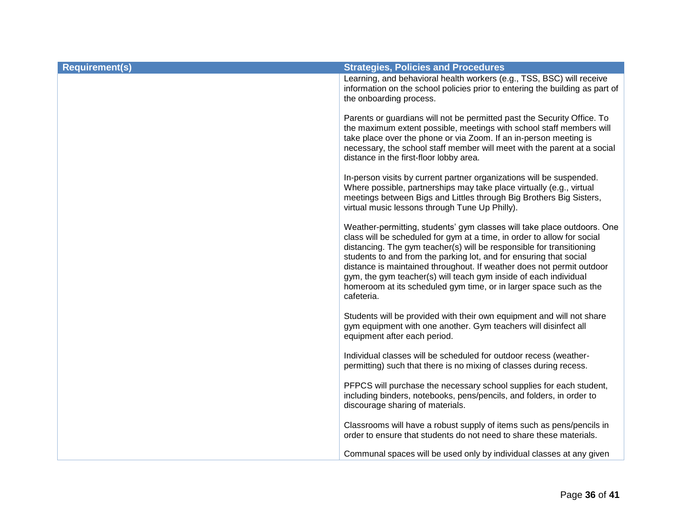| <b>Requirement(s)</b> | <b>Strategies, Policies and Procedures</b>                                                                                                                                                                                                                                                                                                                                                                                                                                                                                        |
|-----------------------|-----------------------------------------------------------------------------------------------------------------------------------------------------------------------------------------------------------------------------------------------------------------------------------------------------------------------------------------------------------------------------------------------------------------------------------------------------------------------------------------------------------------------------------|
|                       | Learning, and behavioral health workers (e.g., TSS, BSC) will receive<br>information on the school policies prior to entering the building as part of<br>the onboarding process.                                                                                                                                                                                                                                                                                                                                                  |
|                       | Parents or guardians will not be permitted past the Security Office. To<br>the maximum extent possible, meetings with school staff members will<br>take place over the phone or via Zoom. If an in-person meeting is<br>necessary, the school staff member will meet with the parent at a social<br>distance in the first-floor lobby area.                                                                                                                                                                                       |
|                       | In-person visits by current partner organizations will be suspended.<br>Where possible, partnerships may take place virtually (e.g., virtual<br>meetings between Bigs and Littles through Big Brothers Big Sisters,<br>virtual music lessons through Tune Up Philly).                                                                                                                                                                                                                                                             |
|                       | Weather-permitting, students' gym classes will take place outdoors. One<br>class will be scheduled for gym at a time, in order to allow for social<br>distancing. The gym teacher(s) will be responsible for transitioning<br>students to and from the parking lot, and for ensuring that social<br>distance is maintained throughout. If weather does not permit outdoor<br>gym, the gym teacher(s) will teach gym inside of each individual<br>homeroom at its scheduled gym time, or in larger space such as the<br>cafeteria. |
|                       | Students will be provided with their own equipment and will not share<br>gym equipment with one another. Gym teachers will disinfect all<br>equipment after each period.                                                                                                                                                                                                                                                                                                                                                          |
|                       | Individual classes will be scheduled for outdoor recess (weather-<br>permitting) such that there is no mixing of classes during recess.                                                                                                                                                                                                                                                                                                                                                                                           |
|                       | PFPCS will purchase the necessary school supplies for each student,<br>including binders, notebooks, pens/pencils, and folders, in order to<br>discourage sharing of materials.                                                                                                                                                                                                                                                                                                                                                   |
|                       | Classrooms will have a robust supply of items such as pens/pencils in<br>order to ensure that students do not need to share these materials.                                                                                                                                                                                                                                                                                                                                                                                      |
|                       | Communal spaces will be used only by individual classes at any given                                                                                                                                                                                                                                                                                                                                                                                                                                                              |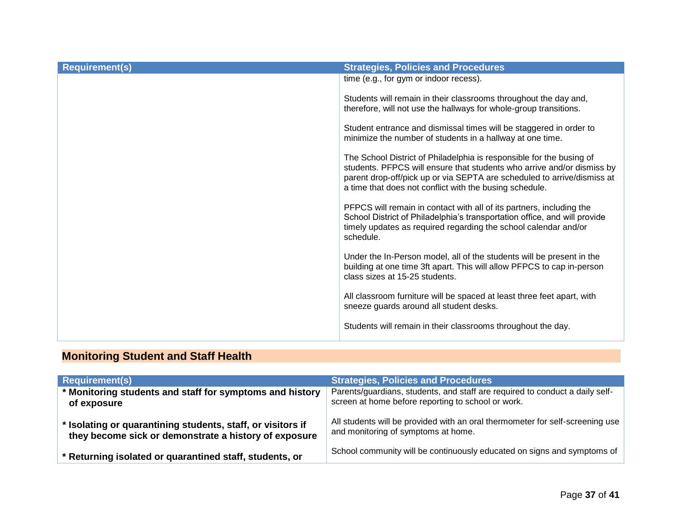| <b>Requirement(s)</b> | <b>Strategies, Policies and Procedures</b>                                                                                                                                                                                                                                           |
|-----------------------|--------------------------------------------------------------------------------------------------------------------------------------------------------------------------------------------------------------------------------------------------------------------------------------|
|                       | time (e.g., for gym or indoor recess).                                                                                                                                                                                                                                               |
|                       | Students will remain in their classrooms throughout the day and,<br>therefore, will not use the hallways for whole-group transitions.                                                                                                                                                |
|                       | Student entrance and dismissal times will be staggered in order to<br>minimize the number of students in a hallway at one time.                                                                                                                                                      |
|                       | The School District of Philadelphia is responsible for the busing of<br>students. PFPCS will ensure that students who arrive and/or dismiss by<br>parent drop-off/pick up or via SEPTA are scheduled to arrive/dismiss at<br>a time that does not conflict with the busing schedule. |
|                       | PFPCS will remain in contact with all of its partners, including the<br>School District of Philadelphia's transportation office, and will provide<br>timely updates as required regarding the school calendar and/or<br>schedule.                                                    |
|                       | Under the In-Person model, all of the students will be present in the<br>building at one time 3ft apart. This will allow PFPCS to cap in-person<br>class sizes at 15-25 students.                                                                                                    |
|                       | All classroom furniture will be spaced at least three feet apart, with<br>sneeze guards around all student desks.                                                                                                                                                                    |
|                       | Students will remain in their classrooms throughout the day.                                                                                                                                                                                                                         |

## **Monitoring Student and Staff Health**

<span id="page-35-0"></span>

| <b>Requirement(s)</b>                                       | <b>Strategies, Policies and Procedures</b>                                    |
|-------------------------------------------------------------|-------------------------------------------------------------------------------|
| * Monitoring students and staff for symptoms and history    | Parents/guardians, students, and staff are required to conduct a daily self-  |
| of exposure                                                 | screen at home before reporting to school or work.                            |
| * Isolating or quarantining students, staff, or visitors if | All students will be provided with an oral thermometer for self-screening use |
| they become sick or demonstrate a history of exposure       | and monitoring of symptoms at home.                                           |
| * Returning isolated or quarantined staff, students, or     | School community will be continuously educated on signs and symptoms of       |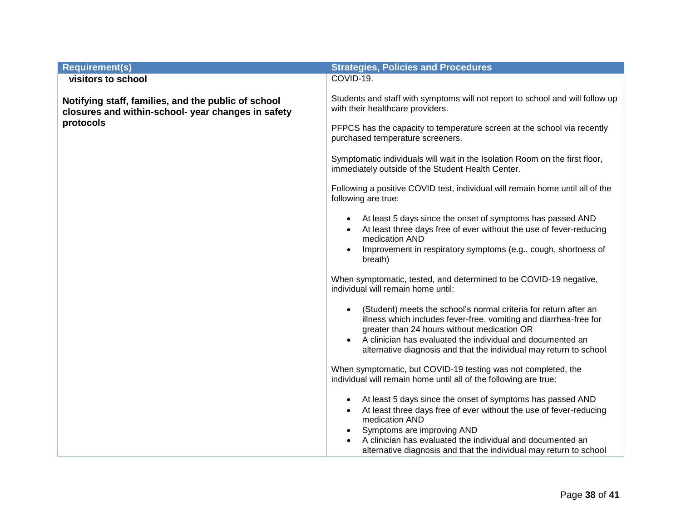| <b>Requirement(s)</b>                                                                                     | <b>Strategies, Policies and Procedures</b>                                                                                                                                           |
|-----------------------------------------------------------------------------------------------------------|--------------------------------------------------------------------------------------------------------------------------------------------------------------------------------------|
| visitors to school                                                                                        | COVID-19.                                                                                                                                                                            |
| Notifying staff, families, and the public of school<br>closures and within-school- year changes in safety | Students and staff with symptoms will not report to school and will follow up<br>with their healthcare providers.                                                                    |
| protocols                                                                                                 | PFPCS has the capacity to temperature screen at the school via recently<br>purchased temperature screeners.                                                                          |
|                                                                                                           | Symptomatic individuals will wait in the Isolation Room on the first floor,<br>immediately outside of the Student Health Center.                                                     |
|                                                                                                           | Following a positive COVID test, individual will remain home until all of the<br>following are true:                                                                                 |
|                                                                                                           | At least 5 days since the onset of symptoms has passed AND<br>At least three days free of ever without the use of fever-reducing<br>medication AND                                   |
|                                                                                                           | Improvement in respiratory symptoms (e.g., cough, shortness of<br>breath)                                                                                                            |
|                                                                                                           | When symptomatic, tested, and determined to be COVID-19 negative,<br>individual will remain home until:                                                                              |
|                                                                                                           | (Student) meets the school's normal criteria for return after an<br>illness which includes fever-free, vomiting and diarrhea-free for<br>greater than 24 hours without medication OR |
|                                                                                                           | A clinician has evaluated the individual and documented an<br>alternative diagnosis and that the individual may return to school                                                     |
|                                                                                                           | When symptomatic, but COVID-19 testing was not completed, the<br>individual will remain home until all of the following are true:                                                    |
|                                                                                                           | At least 5 days since the onset of symptoms has passed AND<br>At least three days free of ever without the use of fever-reducing<br>medication AND                                   |
|                                                                                                           | Symptoms are improving AND<br>A clinician has evaluated the individual and documented an<br>alternative diagnosis and that the individual may return to school                       |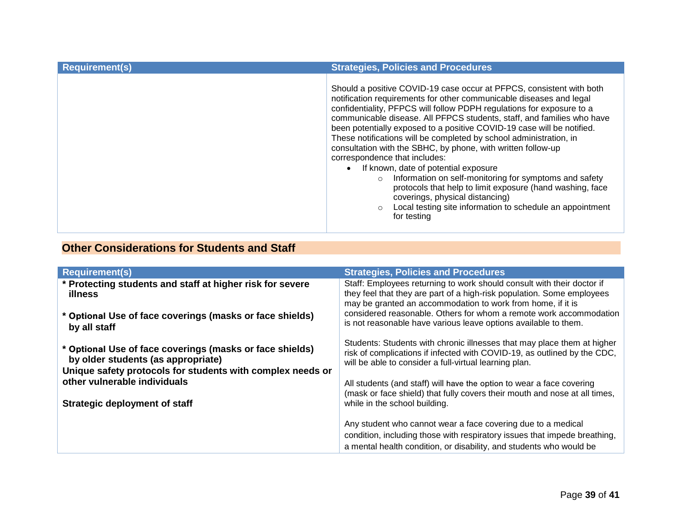| <b>Requirement(s)</b> | <b>Strategies, Policies and Procedures</b>                                                                                                                                                                                                                                                                                                                                                                                                                                                                                                                                                                                                                                                                                                                                                                                                            |
|-----------------------|-------------------------------------------------------------------------------------------------------------------------------------------------------------------------------------------------------------------------------------------------------------------------------------------------------------------------------------------------------------------------------------------------------------------------------------------------------------------------------------------------------------------------------------------------------------------------------------------------------------------------------------------------------------------------------------------------------------------------------------------------------------------------------------------------------------------------------------------------------|
|                       | Should a positive COVID-19 case occur at PFPCS, consistent with both<br>notification requirements for other communicable diseases and legal<br>confidentiality, PFPCS will follow PDPH regulations for exposure to a<br>communicable disease. All PFPCS students, staff, and families who have<br>been potentially exposed to a positive COVID-19 case will be notified.<br>These notifications will be completed by school administration, in<br>consultation with the SBHC, by phone, with written follow-up<br>correspondence that includes:<br>If known, date of potential exposure<br>$\bullet$<br>Information on self-monitoring for symptoms and safety<br>$\circ$<br>protocols that help to limit exposure (hand washing, face<br>coverings, physical distancing)<br>Local testing site information to schedule an appointment<br>for testing |

## **Other Considerations for Students and Staff**

<span id="page-37-0"></span>

| <b>Requirement(s)</b>                                                                                                                                        | <b>Strategies, Policies and Procedures</b>                                                                                                                                                                       |
|--------------------------------------------------------------------------------------------------------------------------------------------------------------|------------------------------------------------------------------------------------------------------------------------------------------------------------------------------------------------------------------|
| * Protecting students and staff at higher risk for severe<br>illness                                                                                         | Staff: Employees returning to work should consult with their doctor if<br>they feel that they are part of a high-risk population. Some employees<br>may be granted an accommodation to work from home, if it is  |
| * Optional Use of face coverings (masks or face shields)<br>by all staff                                                                                     | considered reasonable. Others for whom a remote work accommodation<br>is not reasonable have various leave options available to them.                                                                            |
| * Optional Use of face coverings (masks or face shields)<br>by older students (as appropriate)<br>Unique safety protocols for students with complex needs or | Students: Students with chronic illnesses that may place them at higher<br>risk of complications if infected with COVID-19, as outlined by the CDC,<br>will be able to consider a full-virtual learning plan.    |
| other vulnerable individuals                                                                                                                                 | All students (and staff) will have the option to wear a face covering<br>(mask or face shield) that fully covers their mouth and nose at all times,                                                              |
| <b>Strategic deployment of staff</b>                                                                                                                         | while in the school building.                                                                                                                                                                                    |
|                                                                                                                                                              | Any student who cannot wear a face covering due to a medical<br>condition, including those with respiratory issues that impede breathing,<br>a mental health condition, or disability, and students who would be |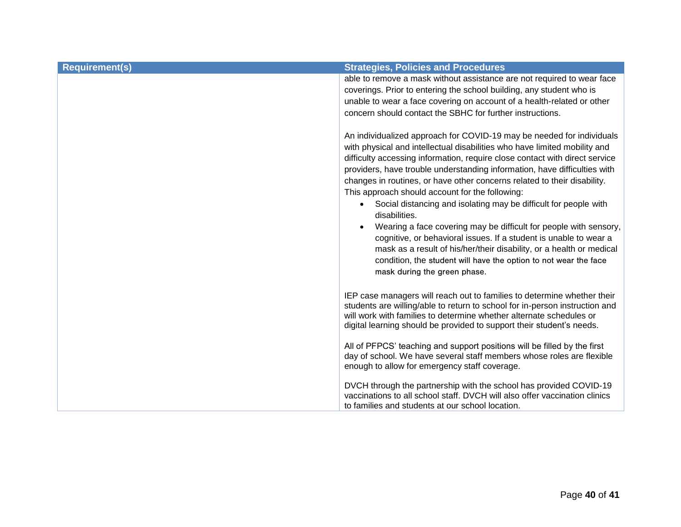| <b>Requirement(s)</b> | <b>Strategies, Policies and Procedures</b>                                                                                                                                                                                                                                                                                                                                                                                                                                                                                                                                                                                                                                                                                                                                                                                                               |
|-----------------------|----------------------------------------------------------------------------------------------------------------------------------------------------------------------------------------------------------------------------------------------------------------------------------------------------------------------------------------------------------------------------------------------------------------------------------------------------------------------------------------------------------------------------------------------------------------------------------------------------------------------------------------------------------------------------------------------------------------------------------------------------------------------------------------------------------------------------------------------------------|
|                       | able to remove a mask without assistance are not required to wear face<br>coverings. Prior to entering the school building, any student who is<br>unable to wear a face covering on account of a health-related or other<br>concern should contact the SBHC for further instructions.                                                                                                                                                                                                                                                                                                                                                                                                                                                                                                                                                                    |
|                       | An individualized approach for COVID-19 may be needed for individuals<br>with physical and intellectual disabilities who have limited mobility and<br>difficulty accessing information, require close contact with direct service<br>providers, have trouble understanding information, have difficulties with<br>changes in routines, or have other concerns related to their disability.<br>This approach should account for the following:<br>Social distancing and isolating may be difficult for people with<br>disabilities.<br>Wearing a face covering may be difficult for people with sensory,<br>cognitive, or behavioral issues. If a student is unable to wear a<br>mask as a result of his/her/their disability, or a health or medical<br>condition, the student will have the option to not wear the face<br>mask during the green phase. |
|                       | IEP case managers will reach out to families to determine whether their<br>students are willing/able to return to school for in-person instruction and<br>will work with families to determine whether alternate schedules or<br>digital learning should be provided to support their student's needs.                                                                                                                                                                                                                                                                                                                                                                                                                                                                                                                                                   |
|                       | All of PFPCS' teaching and support positions will be filled by the first<br>day of school. We have several staff members whose roles are flexible<br>enough to allow for emergency staff coverage.                                                                                                                                                                                                                                                                                                                                                                                                                                                                                                                                                                                                                                                       |
|                       | DVCH through the partnership with the school has provided COVID-19<br>vaccinations to all school staff. DVCH will also offer vaccination clinics<br>to families and students at our school location.                                                                                                                                                                                                                                                                                                                                                                                                                                                                                                                                                                                                                                                     |